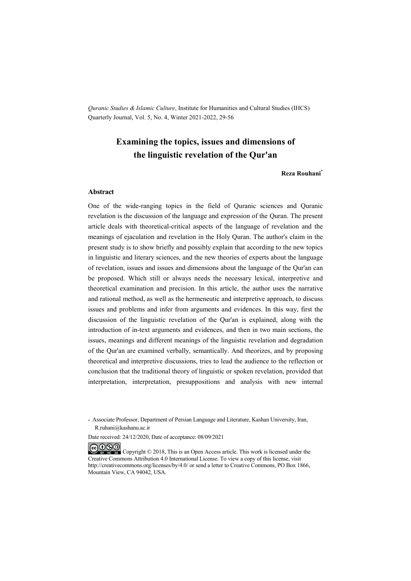*Quranic Studies & Islamic Culture*, Institute for Humanities and Cultural Studies (IHCS) Quarterly Journal, Vol. 5, No. 4, Winter 2021-2022, 29-56

## **Examining the topics, issues and dimensions of the linguistic revelation of the Qur'an**

#### **Reza Rouhani\***

#### **Abstract**

One of the wide-ranging topics in the field of Quranic sciences and Quranic revelation is the discussion of the language and expression of the Quran. The present article deals with theoretical-critical aspects of the language of revelation and the meanings of ejaculation and revelation in the Holy Quran. The author's claim in the present study is to show briefly and possibly explain that according to the new topics in linguistic and literary sciences, and the new theories of experts about the language of revelation, issues and issues and dimensions about the language of the Qur'an can be proposed. Which still or always needs the necessary lexical, interpretive and theoretical examination and precision. In this article, the author uses the narrative and rational method, as well as the hermeneutic and interpretive approach, to discuss issues and problems and infer from arguments and evidences. In this way, first the discussion of the linguistic revelation of the Qur'an is explained, along with the introduction of in-text arguments and evidences, and then in two main sections, the issues, meanings and different meanings of the linguistic revelation and degradation of the Qur'an are examined verbally, semantically. And theorizes, and by proposing theoretical and interpretive discussions, tries to lead the audience to the reflection or conclusion that the traditional theory of linguistic or spoken revelation, provided that interpretation, interpretation, presuppositions and analysis with new internal

Date received: 24/12/2020, Date of acceptance: 08/09/2021

COOO Copyright © 2018, This is an Open Access article. This work is licensed under the Creative Commons Attribution 4.0 International License. To view a copy of this license, visit http://creativecommons.org/licenses/by/4.0/ or send a letter to Creative Commons, PO Box 1866, Mountain View, CA 94042, USA.

<sup>\*</sup> Associate Professor, Department of Persian Language and Literature, Kashan University, Iran, R.ruhani@kashanu.ac.ir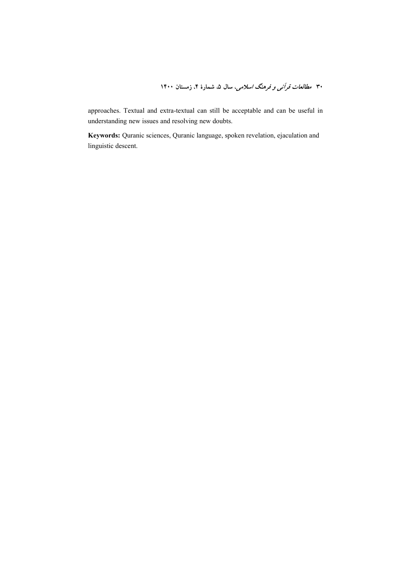**1400 !" 4 5 
30** 

approaches. Textual and extra-textual can still be acceptable and can be useful in understanding new issues and resolving new doubts.

**Keywords:** Quranic sciences, Quranic language, spoken revelation, ejaculation and linguistic descent.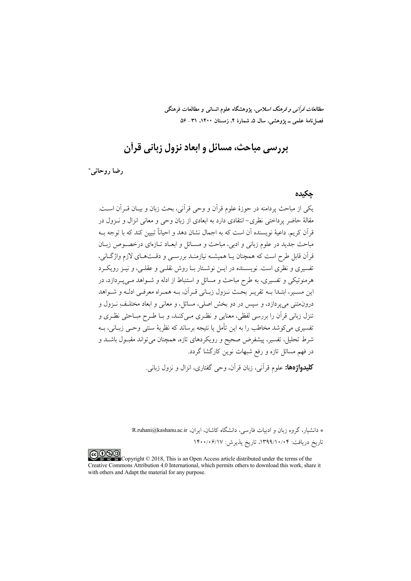*مطالعات قرآنی و فرهنگ اسلامی*، پژوهشگاه علوم انسانی و مطالعات فرهنگی فصلنامهٔ علمی ــ پژوهشی، سال ۵، شمارهٔ ۴، زمستان ۱۴۰۰، ۵۲ ـ ۵۶

# يررسي مباحث، مسائل و ابعاد نزول زياني قرآن

دضا روحاني\*

#### حكىدە

یکے از مباحث پر دامنه در جوزۂ علوم قرآن و وجے قرآنی، بحث زبان و بسان قبرآن است. مقالهٔ حاضر پرداختی نظری–انتقادی دارد به ابعادی از زبان وحی و معانی انزال و نـزول در قرآن کریم. داعیهٔ نویسنده آن است که به اجمال نشان دهد و احیاناً تبیین کند که با توجه بـه مباحث جدید در علوم زبانی و ادبی، مباحث و مسـائل و ابعـاد تـازهای درخصـوص زبـان قرآن قابل طرح است که همچنان پــا همیشــه نیازمنــد بررســی و دقــتـهــای لازم واژگــانی، تفسیری و نظری است. نویســنده در ایــن نوشــتار بــا روش نقلــی و عقلــی، و نیــز رویکــرد هرمنوتیکی و تفسیری، به طرح مباحث و مسائل و استنباط از ادله و شـواهد مـیپـردازد، در این مسـیر، ابتـدا بــه تقریـر بحــث نـزول زبــانی قــر آن، بــه همــراه معرفــی ادلــه و شــواهد درون.تنمی میپردازد، و سپس در دو بخش اصلی، مسائل، و معانی و ابعاد مختلـف ِ نــزول و تنزل زباني قرآن را بررسي لفظي، معنايي و نظـري مـي5نــد، و بــا طـرح مبــاحثي نظـري و تفسیری می کوشد مخاطب را به این تأمل یا نتیجه برساند که نظریهٔ سنتی وحـی زبــانی، بــه شرط تحلیل، تفسیر، پیشفرض صحیح و رویکردهای تازه، همچنان می تواند مقبـول باشــد و در فهم مسائل تازه و رفع شبهات نوین کارگشا گردد.

**کليدواژهها:** علوم قرآني، زبان قرآن، وحر گفتاري، انزال و نزول زباني.

\* دانشیار، گروه زبان و ادبیات فارسی، دانشگاه کاشان، ایران، R.ruhani@kashanu.ac.ir تاريخ دريافت: ۱۳۹۹/۱۰/۰۴، تاريخ پذيرش: ۱۴۰۰/۰۶/۱۷

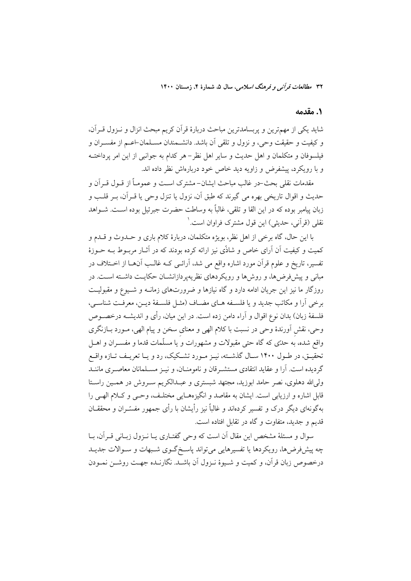#### ١. مقدمه

شاید یکی از مهمترین و پربسامدترین مباحث دربارهٔ قرآن کریم مبحث انزال و نـزول قـرآن، و کیفیت و حقیقت وحی، و نزول و تلقی آن باشد. دانشـمندان مسـلمان-اعـم از مفســران و فیلسوفان و متکلمان و اهل حدیث و سایر اهل نظر–هر کدام به جوانبی از این امر پرداختــه و با رویکرد، پیشفرض و زاویه دید خاص خود دربارهاش نظر داده اند.

مقدمات نقلي بحث-در غالب مباحث ايشان- مشترك اسـت و عمومــاً از قــول قــراَن و حدیث و اقوال تاریخی بهره می گیرند که طبق آن، نزول یا تنزل وحی یا قــرآن، بــر قلــب و زبان پیامبر بوده که در این القا و تلقی، غالباً به وساطت حضرت جبرئیل بوده اسـت. شــواهد نقلي (قرأني، حديثي) اين قول مشترک فراوان است.'

با این حال، گاه برخی از اهل نظر، بویژه متکلمان، دربارهٔ کلام باری و حــدوث و قــدم و کمیت و کیفیت آن آرای خاص و شاذّی نیز ارائه کرده بودند که در آثـار مربــوط بــه حــوزهٔ تفسیر، تاریخ و علوم قرآن مورد اشاره واقع می شد، آرائـی کــه غالــب آنهــا از اخــتلاف در مبانی و پیش فرضها، و روش ها و رویکر دهای نظریه پر دازانشــان حکایــت داشــته اســت. در روزگار ما نیز این جریان ادامه دارد و گاه نیازها و ضرورتهای زمانــه و شــیوع و مقبولیــت برخي أرا و مكاتب جديد و يا فلسـفه هـاي مضـاف (مثـل فلسـفهٔ ديـن، معرفـت شناسـي، فلسفهٔ زبان) بدان نوع اقوال و آراء دامن زده است. در این میان، رأی و اندیشــه درخصــوص وحي، نقش اَورندهٔ وحي در نسبت با كلام الهي و معناي سخن و پيام الهي، مـورد بــازنگري واقع شده، به حدَّى كه گاه حتى مقبولات و مشهورات و يا مسلَّمات قدما و مفســران و اهــل تحقیـق، در طـول ۱۴۰۰ سـال گذشـته، نیـز مـورد تشـكیك، رد و یـا تعریـف تـازه واقـع گردیده است. آرا و عقاید انتقادی مستشـرقان و نامومنــان، و نیــز مســلمانان معاصــری ماننــد ولی الله دهلوی، نصر حامد ابوزید، مجتهد شبستری و عبـدالکریم سـروش در همـین راسـتا قابل اشاره و ارزیابی است. ایشان به مقاصد و انگیزههـایی مختلـف، وحـی و کـلام الهـی را بهگونهای دیگر درک و تفسیر کردهاند و غالباً نیز رأیشان با رأی جمهور مفسّــران و محققــان قدیم و جدید، متفاوت و گاه در تقابل افتاده است.

سوال و مسئلهٔ مشخص این مقال آن است که وحی گفتـاری یـا نـزول زبـانی قـرآن، بـا چه پیشفررضها، رویکردها یا تفسیرهایی میتواند پاسخ گـوی شـبهات و سـوالات جدیـد درخصوص زبان قرآن، و كميت و شـيوهٔ نـزول آن باشـد. نگارنـده جهـت روشــن نمــودن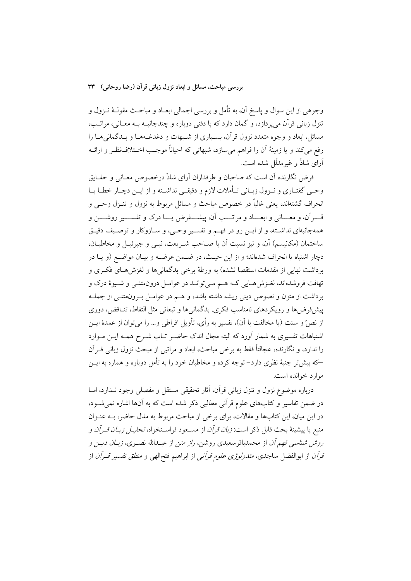وجوهی از این سوال و پاسخ آن، به تأمل و بررسی اجمالی ابعــاد و مباحــث مقولــهٔ نــزول و تنزل زبانی قرآن می یردازد، و گمان دارد که با دقتی دوباره و چندجانبـه بــه معـانی، مراتـب، مسائل، ابعاد و وجوه متعدد نزول قرآن، بسـیاری از شـبهات و دغدغـههـا و بـدگمانیهـا را رفع مي كند و يا زمينهٔ أن را فراهم مي سازد، شبهاتي كه احياناً موجب اخـتلاف نظـر و ارائــه آرای شاذٌ و غیرمدلّل شده است.

فرض نگارنده أن است كه صاحبان و طرفداران أراي شاذّ درخصوص معـاني و حقـايق وحبي گفتـاري و نــزول زبــاني تــأملات لازم و دقيقــي نداشــته و از ايــن دچــار خطــا يــا انحراف گشتهاند، یعنی غالباً در خصوص مباحث و مسائل مربوط به نزول و تنــزل وحــی و قــــرأن، و معــــاني و ابعـــاد و مراتــــب أن، پيشــــفرض يــــا درک و تفســــير روشــــن و همهجانبهاي نداشــته، و از ايــن رو در فهــم و تفســير وحــي، و ســازوكار و توصـيف دقيــق ساختمان (مكانيسم) آن، و نيز نسبت آن با صـاحب شـريعت، نبـي و جبرئيـل و مخاطبـان، دچار اشتباه یا انحراف شدهاند؛ و از این حیـث، در ضـمن عرضـه و بیـان مواضـع (و یـا در برداشت نهایی از مقدمات استقصا نشده) به ورطهٔ برخی بدگمانیها و لغزشهـای فکـری و تهافت فروشدهاند، لغـزشهـايي كـه هــم مــي توانــد در عوامــل درون.تنــي و شــيوهٔ درک و برداشت از متون و نصوص دینی ریشه داشته باشد، و هـم در عوامـل بـرونمتنــی از جملــه پیشفررضها و رویکردهای نامناسب فکری. بدگمانیها و تبعاتی مثل التقاط، تنـاقض، دوری از نصٌّ و سنت (يا مخالفت با آن)، تفسير به رأى، تأويل افراطي و… را مي توان از عمدهٔ ايــن اشتباهات تفسیری به شمار آورد که البته مجال اندک حاضـر تـاب شـرح همـه ایــن مــوارد را ندارد، و نگارنده، عجالتاً فقط به برخی مباحث، ابعاد و مراتبی از مبحث نزول زبانی قــرآن —که بیش تر جنبهٔ نظری دارد– توجه کرده و مخاطبان خود را به تأمل دوباره و هماره به ایــن موارد خوانده است.

درباره موضوع نزول و تنزل زباني قرآن، أثار تحقيقي مستقل و مفصلي وجود نــدارد، امــا در ضمن تفاسیر و کتابهای علوم قرآنی مطالبی ذکر شده است که به آنها اشاره نمی شــود، در این میان، این کتابها و مقالات، برای برخی از مباحث مربوط به مقال حاضر، بـه عنـوان منبع يا پيشينهٔ بحث قابل ذكر است: *زبان قرآن* از مســعود فراســتخواه، *تحليــل زبــان قــران و* ر*وش شناسی فهم آن* از محمدباقرسعیدی روشن، *راز متن* از عبــدالله نصــری، *زبــان دیــن و* قرآن از ابوالفضل ساجدی، *متدولوژی علوم قرآنی* از ابراهیم فتح|لهی و *منطق تفسیر قــرآن* از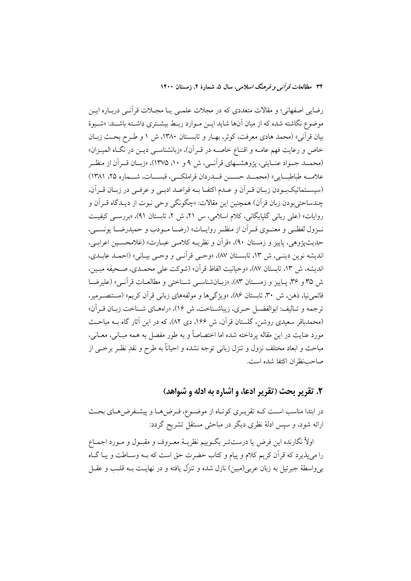رضایی اصفهانی؛ و مقالات متعددی که در مجلات علمـی یـا مجـلات قرآنـی دربـاره ایـن موضوع نگاشته شده که از میان آنها شاید ایــن مــوارد ربــط بیشــتری داشــته باشــند: «شــیوهٔ بيان قرآني» (محمد هادي معرفت، كوثر، بهـار و تابسـتان ١٣٨٠، ش ١ و طـرح بحـث زبـان خاص و رعایت فهم عامــه و اقنــاع خاصــه در قــراَن)، «زبانشناســي ديــن در نگــاه الميــزان» (محمــد جــواد عنــايتي، پژوهشــهاي قرآنــي، ش ۹و ۱۰، ۱۳۷۵)، «زبــان قــراّن از منظــر علامــه طباطبــايي» (محمــد حســن قــدردان قراملكــي، قبســات، شـــماره ۲۵، ۱۳۸۱) (سيسـتماتيكبـودن زبـان قـراًن و عـدم اكتفـا بـه قواعـد ادبـي و عرفـي در زبـان قـراًن، چندساحتي بودن زبان قر آن) همچنين اين مقالات: «چگونگي وحي نبوت از ديــدگاه قــر آن و روایات» (علی ربانی گلپایگانی، کلام اسلامی، س ۲۱، ش ۲، تابستان ۹۱)، «بررسبی کیفیت .<br>نوول لفظهي و معنسوي قسران از منظير رواييات» (رضيا مسودب و حميدرضيا يونسيي، حديثيۋوهي، پاييز و زمستان ٩٠)، «قرأن و نظريــه كلامــي عبــارت» (غلامحســين اعرابــي، انديشه نوين دينـي، ش ١٣، تابسـتان ٨٧، «وحـي قرأنـي و وحـي بيـاني» (احمـد عابـدي، انديشه، ش ١٣، تابستان ٨٧)، «وحيانيت الفاظ قر آن» (شوكت على محمــدي، صـحيفه مبـين، ش ٣٥ و ٣٤، پياييز و زمستان ٨٣)، «زبيان شناسبي شيناختي و مطالعيات قرآنسي» (عليرضيا قائمی نیا، ذهن، ش ۳۰، تابستان ۸۶)، «ویژگیها و مولفههای زبانی قرآن کریم» (مستنصـرمیر، ترجمه و تـاليف: ابوالفضـل حـري، زيباشـناخت، ش ١۶)، «راههـاي شـناخت زيـان قـر أن» (محمدباقر سعیدی روشن، گلستان قرآن، ش ۱۶۶، دی ۸۲)، که در این آثار گاه بـه مباحـث مورد عنايت در اين مقاله پرداخته شده اما اختصاصاً و به طور مفصل به همه مبـاني، معــاني، مباحث و ابعاد مختلف نزول و تنزل زبانی توجه نشده و احیاناً به طرح و نقدِ نظـر برخــی از صاحب نظران اكتفا شده است.

## ٢. تقرير بحث (تقرير ادعا، و اشاره به ادله و شواهد)

در ابتدا مناسب اسـت كـه تقريـري كوتـاه از موضـوع، فـرضهـا و پيشـفرضهـاي بحـث ارائه شود، و سپس ادلهٔ نظری دیگر در مباحثی مستقل تشریح گردد:

اولاً نگارنده اين فرض يا درستتـر بگــوييم نظريــهٔ معــروف و مقبــول و مــورد اجمــاع را می پذیرد که قرآن کریم کلام و پیام و کتاب حضرت حق است که بـه وسـاطت و پـا گـاه بی واسطهٔ جبرئیل به زبان عربی(مبین) نازل شده و تنزّل یافته و در نهایـت بــه قلـب و عقــل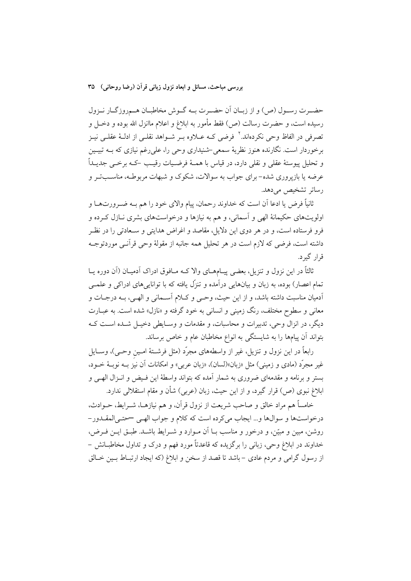حضـرت رسـول (ص) و از زبـان اَن حضـرت بــه گــوش مخاطبـان هــمروزگــار نــزول رسیده است، و حضرت رسالت (ص) فقط مأمور به ابلاغ و اعلام ماانزل الله بوده و دخــل و تصرفی در الفاظ وحی نکردهاند.<sup>۲</sup> فرضی کـه عــلاوه بــر شــواهد نقلــی از ادلــهٔ عقلــی نیــز برخوردار است. نگارنده هنوز نظریهٔ سمعی شنیداری وحی را، علی رغم نیازی که بــه تبیــین و تحليل پيوستهٔ عقلي و نقلي دارد، در قياس با همـهٔ فرضـيات رقيـب –کــه برخــي جديــداً عرضه یا بازپروری شده-برای جواب به سوالات، شکوک و شبهات مربوطـه، مناســبتـر و رساتر تشخیص می دهد.

ثانیاً فرض یا ادعا اَن است که خداوند رحمان، پیام والای خود را هم بــه ضــرورتـهــا و اولويتهاي حکيمانهٔ الهي و اسماني، و هم به نيازها و درخواستهاي بشري نــازل کــرده و فرو فرستاده است، و در هر دوی این دلایل، مقاصد و اغراض هدایتی و سـعادتی را در نظـر داشته است، فرضی که لازم است در هر تحلیل همه جانبه از مقولهٔ وحی قرآنــی موردتوجــه قرار گېرد.

ثالثاً در این نزول و تنزیل، بعضی پیـامهــای والا کــه مــافوق ادراک آدمیــان (آن دوره یــا تمام اعصار) بوده، به زبان و بیانهایی درآمده و تنزّل یافته که با تواناییهای ادراکی و علمــی أدميان مناسبت داشته باشد، و از اين حيث، وحـي و كـلام أســماني و الهـي، بــه درجــات و معانی و سطوح مختلف، رنگ زمینی و انسانی به خود گرفته و «نازل» شده است. به عبــارت دیگر، در انزال وحی، تدبیرات و محاسبات، و مقدمات و وسـایطی دخیـل شـده اسـت کـه بتواند آن پیامها را به شایستگی به انواع مخاطبان عام و خاص برساند.

رابعاً در این نزول و تنزیل، غیر از واسطههای مجرّد (مثل فرشــتهٔ امـین وحـی)، وســایل غیر مجرَّد (مادی و زمینی) مثل «زبان»(لسان)، «زبان عربی» و امکانات اّن نیز بــه نوبــهٔ خــود، بستر و برنامه و مقدمهای ضروری به شمار آمده که بتواند واسطهٔ این فـیض و انـزال الهـی و ابلاغ نبوی (ص) قرار گیرد، و از این حیث، زبان (عربی) شأن و مقام استقلالی ندارد.

خامساً هم مراد خالق و صاحب شریعت از نزول قرآن، و هم نیازهـا، شــرایط، حــوادث، درخواستها و سوالها و… ایجاب می کرده است که کلام و جواب الهبی سحتبی المقــدور – روشن، مبین و مبیّن، و درخور و مناسب بــا آن مــوارد و شــرایط باشــد. طبــق ایــن فــرض، خداوند در ابلاغ وحي، زباني را برگزيده كه قاعدتاً مورد فهم و درک و تداول مخاطبــانش – از رسول گرامی و مردم عادی –باشد تا قصد از سخن و ابلاغ (که ایجاد ارتبـاط بـین خـالق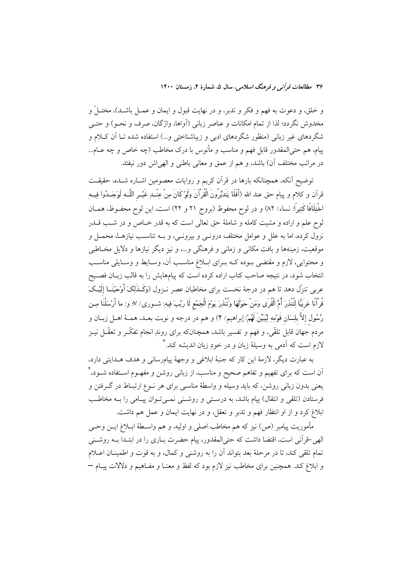۳۶ مطالعات قرآن<sub>می</sub> و فرهنگ *اسلامی*، سال ۵، شمارهٔ ۴، زمستان ۱۴۰۰

و خلق، و دعوت به فهم و فكر و تدبر، و در نهايت قبول و ايمان و عمــل باشــد)، مختــلٌ و مخدوش نگردد؛ لذا از تمام امکانات و عناصر زبانی (أواها، واژگان، صرف و نحــو) و حتــی شگردهای غیر زبانی (منظور شگردهای ادبی و زیباشناختی و…) استفاده شده تـا آن کـلام و پیام، هم حتیالمقدور قابل فهم و مناسب و مأنوس با درک مخاطب (چه خاص و چه عــام... در مراتب مختلف آن) باشد، و هم از عمق و معانی باطنی و الهی اش دور نیفتد.

توضیح آنکه، همچنانکه بارها در قرآن کریم و روایات معصومین اشـاره شــده، حقیقــت قرآن و كلام و پيام حق عند الله (أَفَلَا يَتَدَبَّرُونَ الْقُرْآنَ وَلَوْكَانَ مِنْ عِنْــدِ غَيْــر اللَّــهِ لَوَجَــدُوا فِيــه ِ اخْتِلَافًا كَثِيرًا: نساء/ ٨٢) و در لوح محفوظ (بروج ٢١ و ٢٢) است، اين لوح محفــوظ، همــان لوح علم و اراده و مشبت کامله و شاملهٔ حق تعالی است که به قدر خـاص و در شـب قــدر نزول کرده، اما به علل و عوامل مختلف درونـی و بیرونـی، و بــه تناسـب نیازهـا، محمـل و موقعیت، زمینهها و بافت مکان<sub>ی</sub> و زمان<sub>ی</sub> و فرهنگی و…، و نیز دیگر نیازها و دلایل مخـاطبی و محتوایی، لازم و مقتضی بـوده کـه بـرای ابـلاغ مناسـب آن، وسـایط و وسـایلی مناسـب انتخاب شود، در نتیجه صاحب کتاب اراده کرده است که پیامهایش را به قالب زبـان فصـیح عربی تنزّل دهد تا هم در درجهٔ نخست برای مخاطبان عصر نــزول (وَکَــذَلِکَ أَوْحَیْنَــا إِلَیْــکَ قُوانًا عَرَبيًّا لِتُنْذِرَ أُمَّ الْقُرَى وَمَنْ حَوْلَهَا وَتُنْذِرَ يَوْمَ الْجَمْعِ لَا رَيْبَ فِيهِ: شــورى/ ٧؛ و: ما أرْسَلْنَا مِــن رَّسُول إلاَّ بلِسَان قَوْمِهِ لِيُبَيِّنَ لَهُمْ: إبراهيم/ ۴) و هم در درجه و نوبت بعــد، همــهٔ اهــل زبــان و مردم جهان قابل تلقّی، و فهم و تفسیر باشد، همچنانکه برای روندِ انجام تفکّــر و تعقّــل نیــز لازم است که اَدمی به وسیلهٔ زبان و در خودِ زبان اندیشه کند.<sup>۳</sup>

به عبارت ديگر، لازمهٔ اين كار كه جنبهٔ ابلاغي و وجههٔ پيامرساني و هدف هـدايتي دارد، اّن است که برای تفهیم و تفاهم صحیح و مناسب، از زبان<sub>ی</sub> روشن و مفهــوم اســتفاده شــود، ٔ یعنی بدون زبانی روشن، که باید وسیله و واسطهٔ مناسبی برای هر نــوع ارتبــاط در گــرفتن و فرستادن (تلقی و انتقال) پیام باشد، به درستی و روشـنی نمـیتوان پیـامی را بــه مخاطـب ابلاغ کرد و از او انتظار فهم و تدبر و تعقل، و در نهایت ایمان و عمل هم داشت.

مأموريت پيامبر (ص) نيز كه هم مخاطب اصلي و اوليه، و هم واســطهٔ ابــلاغ ايــن وحــي الهی-قرآنی است، اقتضا داشت که حتیالمقدور، پیام حضرت بـاری را در ابتـدا بــه روشــنی تمام تلقی کند، تا در مرحلهٔ بعد بتواند آن را به روشنی و کمال، و به قوت و اطمینـان اعــلام و ابلاغ کند. همچنین برای مخاطب نیز لازم بود که لفظ و معنــا و مفــاهیم و دلالات پیــام —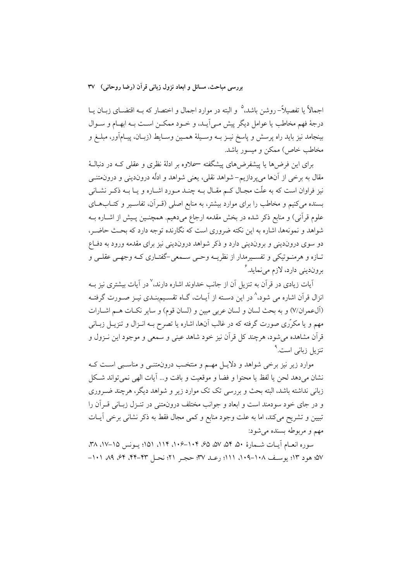اجمالاً یا تفصیلاً– روشن باشد،<sup>۵</sup> و البته در موارد اجمال و اختصار که بــه اقتضــای زبــان یــا درجهٔ فهم مخاطب یا عوامل دیگر پیش مے آیـد، و خـود ممکــن اسـت بــه ابهــام و ســوال بينجامد نيز بايد راه پرسش و پاسخ نيـز بــه وســيلهٔ همــين وســايط (زبــان، پيــامآور، مبلــغ و مخاطب خاص) ممکن و میسور باشد.

برای این فرضها یا پیشفرضهای پیشگفته —علاوه بر ادلهٔ نظری و عقلی کـه در دنبالـهٔ مقال به برخی از آنها می پردازیم– شواهد نقلی، یعنی شواهد و ادلّه دروندینی و درونمتنــی نیز فراوان است که به علّت مجـال کــم مقـال بــه چنــد مــورد اشــاره و یــا بــه ذکــر نشــانی بسنده می کنیم و مخاطب را برای موارد بیشتر، به منابع اصلی (قـراَن، تفاسـیر و کتـابهـای علوم قرآني) و منابع ذكر شده در بخش مقدمه ارجاع مي دهيم. همچنـين پـيش از اشــاره بــه شواهد و نمونهها، اشاره به این نکته ضروری است که نگارنده توجه دارد که بحث حاضیر، دو سوی دروندینی و بروندینی دارد و ذکر شواهد دروندینی نیز برای مقدمه ورود به دفـاع تبازه و هرمنبوتيكي و تفسيرمدار از نظريــه وحــي ســمعي-گفتــاري كــه وجهــي عقلــي و برونديني دارد، لازم مي نمايد.

آیات زیادی در قرآن به تنزیل آن از جانب خداوند اشاره دارند، <sup>۷</sup> در آیات بیشتری نیز ب انزال قرآن اشاره می شود،<sup>۸</sup> در این دسـته از آیــات، گــاه تقســیمېنــدی نیــز صــورت گرفتــه (آلءمران/۷) و به بحث لسان و لسان عربی مبین و (لسان قوم) و سایر نکـات هـم اشــارات مهم و یا مکرّری صورت گرفته که در غالب آنها، اشاره یا تصرح بــه انــزال و تنزیــل زبــانی قرآن مشاهده می شود، هرچند کل قرآن نیز خود شاهد عینی و سمعی و موجود این نــزول و تنزیل زبان*ی* است.<sup>۹</sup>

موارد زیر نیز برخی شواهد و دلایـل مهـم و منتخـب درونمتنــی و مناسـبی اسـت کــه نشان مىدهد لحن يا لفظ يا محتوا و فضا و موقعيت و بافت و... آيات الهي نمىٍتواند شكل زبانی نداشته باشد، البته بحث و بررسی تک تک موارد زیر و شواهد دیگر، هرچند ضـروری و در جای خود سودمند است و ابعاد و جوانب مختلف درون،متنی در تنـزل زبـانی قـرآن را تبیین و تشریح میکند، اما به علت وجود منابع و کمی مجال فقط به ذکر نشانی برخی اَیــات مهم و مربوطه بسنده می شود:

سوره انعبام آييات شيمارة ۵۰، ۵۴، ۵۲، ۵۵، ۶۵، ۱۰۴–۱۰۶، ۱۱۴، ۱۵۱؛ يبونس ۱۵–۱۷، ۳۸، ۵۷؛ هود ۱۳؛ بوسـف ۱۰۸–۱۰۹، ۱۱۱؛ رعـد ۳۷؛ حجـر ۲۱؛ نحـل ۴۳–۴۴، ۶۴، ۸۹، ۱۰۱–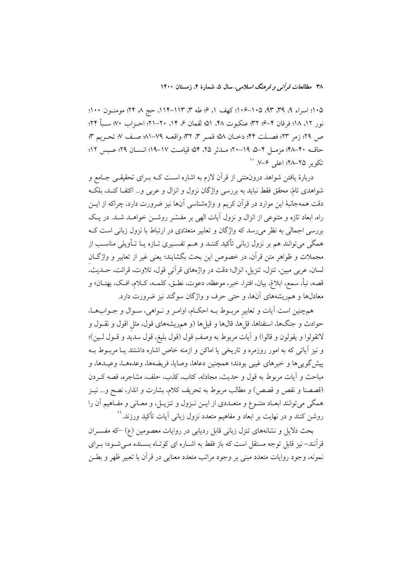۱۰۵؛ اسراء ۹، ۳۹، ۹۳، ۱۰۵–۱۰۶؛ کهف ۱، ۶؛ طه ۳، ۱۱۳–۱۱۲، حج ۸، ۲۴؛ مومنــون ۱۰۰؛ نور ١٢، ١٨؛ فرقان ٢–۶؛ ٣٢؛ عنكبوت ٣٨، ٥١؛ لقمان ع، ١۴، ٢٠–٢١؛ احـزاب ٧٠؛ ســبأ ٢٢؛ ص ٢٩؛ زمر ٢٣؛ فصـلت ۴۴؛ دخـان ٥٨؛ قمـر ٣، ٣٢؛ واقعــه ٧٩-٨١؛ صـف ٧؛ تحـريم ٣؛ حاقــه ۴۰–۴۸؛ مزمــل ۴–۵، ۱۹–۲۰؛ مــدثر ۲۵، ۵۴، قیامــت ۱۷–۱۹؛ انســان ۲۹؛ عــبس ۱۲؛ تکویر ۲۵–۲۸؛ اعلی ۶–۷. <sup>۱۰</sup>

دربارهٔ یافتن شواهد درونهتنی از قرآن لازم به اشاره است کــه بــرای تحقیقــی جــامع و شواهدي تامّ، محقق فقط نبايد به بررسي واژگان نزول و انزال و عربي و… اکتفــا کنــد، بلکــه دقت همهجانبهٔ این موارد در قرآن کریم و واژهشناسی آنها نیز ضرورت دارد، چراکه از ایــن راه، ابعاد تازه و متنوعی از انزال و نزول آیات الهی بر مفسّـر روشــن خواهــد شــد. در یـک بررسی اجمالی به نظر میرسد که واژگان و تعابیر متعدّدی در ارتباط با نزول زبانی است کـه همگی میتوانند هم بر نزول زبانی تأکید کننـد و هــم تفســیری تــازه یــا تــأویلی مناســب از مجملات و ظواهر متن قرآن، در خصوص این بحث بگشایند؛ یعنی غیر از تعابیر و واژگـان لسان، عربی مبین، تنزل، تنزیل، انزال؛ دقت در واژههای قرآنی قول، تلاوت، قرائت، حـدیث، قصه، نبأ، سمع، ابلاغ، بيان، افترا، خبر، موعظه، دعوت، نطـق، كلمــه، كــلام، افـك، بهتــان» و معادلها و همریشههای آنها، و حتی حرف و واژگان سوگند نیز ضرورت دارد.

همچنین است آیات و تعابیر مربـوط بــه احکــام، اوامــر و نــواهی، ســوال و جــوابـهــا، حوادث و جنگها، استفتاها، قلَّها، قالها و قيلها (و همريشههای قول، مثل اقول و نقــول و لاتقولوا و يقولون و قالوا) و أيات مربوط به وصفٍ قول (قول بليغ، قول سديد و قـول لـين)؛ و نیز آپاتی که به امور روزمره و تاریخی یا اماکن و ازمنه خاص اشاره داشتند یـا مربـوط بــه پیشگوییها و خبرهای غیبی بودند؛ همچنین دعاها، وصایا، فریضهها، وعدهها، وعیـدها، و مباحث و آیات مربوط به قول و حدیث، مجادله، کتاب، کذب، حلف، مشاجره، قصه کــردن (قصصنا و نقص و قصص) و مطالب مربوط به تحريف كلام، بشارت و انذار، نصح و… نيـز همگی میتوانند ابعـاد متنـوع و متعـددی از ایــن نــزول و تنزیــل، و معــانی و مفــاهیم آن را روشن کنند و در نهایت بر ابعاد و مفاهیم متعدد نزول زبانی آیات تأکید ورزند.''

بحث دلایل و نشانههای تنزل زبانی قابل ردیابی در روایات معصومین (ع) که مفسـران قرآنند–نیز قابل توجه مستقل است که باز فقط به اشـاره ای کوتـاه بسـنده مـی شـود؛ بـرای نمونه، وجود روايات متعدد مبنى بر وجود مراتب متعدد معنايي در قرأن با تعبير ظهر و بطـن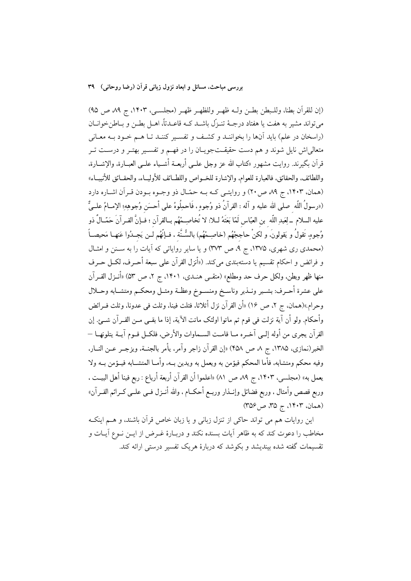(إن للقرآن بطنا، وللبطن بطـن ولـه ظهـر وللظهـر ظهـر (مجلسـي، ١۴٠٣، ج ٨٩ ص ٩٥) مي تواند مشير به هفت يا هفتاد درجــهٔ تنــزّل باشــد كــه قاعــدتاً، اهــل بطــن و بــاطنخوانــان (راسخان در علم) باید آنها را بخواننـد و کشـف و تفسـیر کننـد تـا هـم خـود بـه معـانی متعالی[ش نایل شوند و هم دست حقیقـتجویـان را در فهـم و تفسـیر بهتـر و درسـت تـر قرآن بگيرند. روايت مشهور «كتاب الله عز وجل علــي أربعــة أشــياء علــي العبــارة، والإشــارة، واللطائف. والحقائق. فالعبارة للعوام. والإشارة للخــواص واللطــائف للأوليــاء. والحقــائق للأنبيــاء» (همان، ۱۴۰۳، ج ۸۹ ص ۲۰) و روایتبی کـه بـه حمّـال ذو وجـوه بـودن قـر آن اشـاره دارد («رسولُ اللَّه صلى الله عليه و آله : القرآنُ ذو وُجوهٍ ، فَاحمِلُوهُ على أحسَن وُجوهِهِ؛ الإمــامُ علــيٌّ عليه السلام \_لِعَبدِ اللّه بن العبّاس لَمّا بَعَثَهُ لــلا: لا تُخاصِــمْهُم بــالقرآن ؛ فــإنَّ القــرآنَ حَمّــالٌ ذو وُجوهٍ تَقولُ و يَقولونَ، و لكنْ حاججْهُم (خاصِـمْهُم) بالسُّـنَّة ، فـإنَّهُم لـن يَجـدُوا عَنهـا مَحيصـاً (محمدی ری شهری، ۱۳۷۵، ج ۹، ص ۳۷۳) و یا سایر روایاتی که آیات را به سـنن و امثـال و فرائض و احكام تقسيم يا دستهبندي مي كند. («أنزل القرآن على سبعة أحــرف، لكــل حــرف منها ظهر وبطن، ولكل حرف حد ومطلع» (متقـَّى هنـدي، ١۴٠١، ج ٢، ص ٥٣) «أنـزل القـرآن على عشرة أحـرف: بشـير ونـذير وناسـخ ومنسـوخ وعظـة ومثـل ومحكـم ومتشـابه وحــلال وحرام»(همان، ج ٢، ص ١۶) «أن القرآن نزل أثلاثاً، فثلث فيناً، وثلث في عدوناً، وثلث فــرائض وأحكام. ولو أن آية نزلت في قوم ثم ماتوا اولئك ماتت الآية، إذا ما بقــي مــن القــرآن شـــئ. إن القرآن يجرى من أوله إلـي آخـره مــا قامــت الســماوات والأرض، فلكــل قــوم آيــة يتلونهــا — الخبر(نمازي، ١٣٨٥، ج ٨، ص ۴۵٨) «إن القرآن زاجر وآمر، يأمر بالجنــة، ويزجــر عــن النــار، وفيه محكم ومتشابه، فأما المحكم فيؤمن به ويعمل به ويدين بــه، وأمــا المتشــابه فيــؤمن بــه ولا يعمل به» (مجلسي، ١۴٠٣، ج ٨٩ ص ٨١) «اعلموا أن القرآن أربعة أرباع : ربع فينا أهل البيــت ، وربع قصص وأمثال ، وربع فضائل وإنــذار وربــع أحكــام ، والله أنــزل فــي علــي كــرائم القــرآن» (همان، ۱۴۰۳، ج ۳۵، ص۳۵۶)

این روایات هم می تواند حاکی از تنزل زبانی و یا زبان خاص قرآن باشند، و هــم اینکـه مخاطب را دعوت کند که به ظاهر آیات بسنده نکند و دربـارهٔ غــرض از ایــن نــوع آیــات و تقسیمات گفته شده بیندیشد و بکوشد که دربارهٔ هریک تفسیر درستی ارائه کند.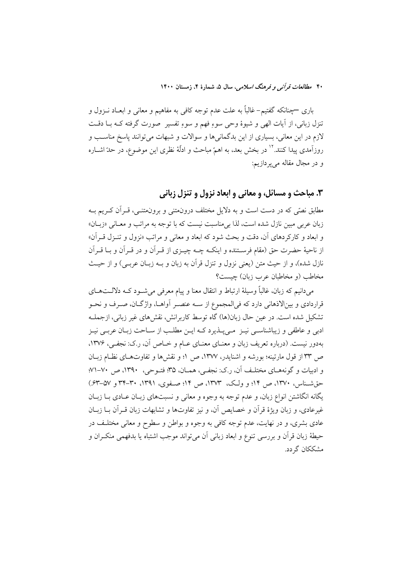باری —چنانکه گفتیم– غالباً به علت عدم توجه کافی به مفاهیم و معانی و ابعــاد نــزول و تنزل زباني، از أيات الهي و شيوهٔ وحي سوءِ فهم و سوءِ تفسير ۖ صورت گرفته کــه بــا دقــت لازم در این معانی، بسیاری از این بدگمانیها و سوالات و شبهات میتوانند پاسخ مناسب و روزآمدی پیدا کنند.'' در بخش بعد، به اهمّ مباحث و ادلّهٔ نظری این موضوع، در حدّ اشــاره و در مجال مقاله مي پردازيم:

### ۰۳ مباحث و مسائل، و معانی و ابعاد نزول و تنزل زبانی

مطابق نصّی که در دست است و به دلایل مختلف درونهتنی و برونهتنـی، قـرآن کـریم بـه زبان عربی مبین نازل شده است، لذا بیِمناسبت نیست که با توجه به مراتب و معـانیِ «زبــان» و ابعاد و كاركردهاي آن، دقت و بحث شود كه ابعاد و معانى و مراتب «نزول و تنـزل قـرأن» از ناحیهٔ حضرت حق (مقام فرسـتنده و اینکــه چــه چیــزی از قــراَن و در قــراَن و بــا قــراَن نازل شده)، و از حيث متن (يعني نزول و تنزل قرآن به زبان و بــه زبــان عربــي) و از حيــث مخاطب (و مخاطبان عرب زبان) چیست؟

میدانیم که زبان، غالباً وسیلهٔ ارتباط و انتقال معنا و پیام معرفی می شـود کـه دلالـتهـای قراردادی و بینالاذهانی دارد که فیالمجموع از ســه عنصــر آواهــا، واژگــان، صــرف و نحــو تشكيل شده است. در عين حال زبان(ها) گاه توسط كاربرانش، نقش هاي غير زباني، ازجملـه ادبی و عاطفی و زیباشناسـی نیـز ِ مـی.پــذیرد کــه ایــن مطلـب از ســاحت زبــان عربــی نیــز بهدور نیست. (درباره تعریف زبان و معنـای معنـای عـام و خـاص آن، ر.ک: نجفـی، ۱۳۷۶. ص ٣٣ از قول مارتينه؛ بورشه و اشنايدر، ١٣٧٧، ص ١؛ و نقشها و تفاوتهاي نظـام زبـان و ادبیات و گونههای مختلف آن، رک: نجفی، همـان، ۳۵؛ فتـوحی، ۱۳۹۰، ص ۷۰-۷۱؛ حق شسناس، ١٣٧٠، ص ١۴؛ و ولک، ١٣٧٣، ص ١۴؛ صفوي، ١٣٩١، ٣٠-٣۴ و ٥٧-۶٣.) یگانه انگاشتن انواع زبان، و عدم توجه به وجوه و معانی و نسبتهای زبـان عـادی بـا زبـان غیرعادی، و زبان ویژهٔ قرآن و خصایص آن، و نیز تفاوتها و تشابهات زبان قـرآن بــا زبــان عادی بشری، و در نهایت، عدم توجه کافی به وجوه و بواطن و سطوح و معانی مختلـف در حيطهٔ زبان قرآن و بررسي تنوع و ابعاد زباني آن مي تواند موجب اشتباه يا بدفهمي منكـران و مشککان گردد.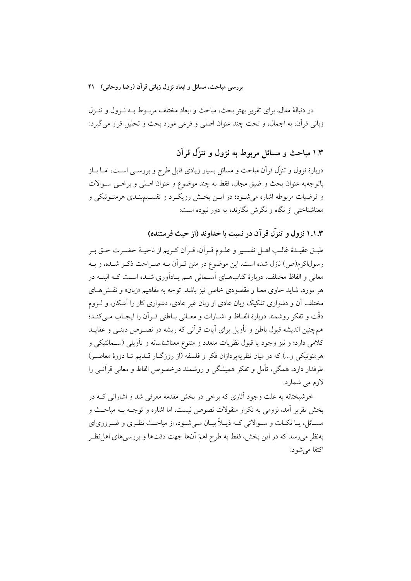بررسی مباحث، مسائل و ابعاد نزول زبانی قرآن (رضا روحانی) ۴۱

در دنبالهٔ مقال، برای تقریر بهتر بحث، مباحث و ابعاد مختلف مربــوط بــه نــزول و تنــزل زباني قرأن، به اجمال، و تحت چند عنوان اصلي و فرعي مورد بحث و تحليل قرار مي گيرد:

# ۱.۳ مباحث و مسائل مربوط به نزول و تنزَّل قرآن

دربارهٔ نزول و تنزِّل قرآن مباحث و مسائل بسیار زیادی قابل طرح و بررســی اســت، امــا بــاز باتوجهبه عنوان بحث و ضيق مجال، فقط به چند موضوع و عنوان اصلي و برخـبي ســوالات و فرضیات مربوطه اشاره میشود؛ در ایـن بخـش رویکـرد و تقسـیمېنـدی هرمنـوتیکی و معناشناختی از نگاه و نگرش نگارنده به دور نبوده است:

۱.۱.۳ نزول و تنزل قرآن در نسبت با خداوند (از حیث فرستنده)

طبـق عقيـدۀ غالـب اهــل تفســير و علــوم قــراَن، قــراَن كــريم از ناحيــۀ حضــرت حــق بــر رسولاکرم(ص) نازل شده است. این موضوع در متن قـراَن بـه صـراحت ذکـر شـده، و بـه معانی و الفاظ مختلف، دربارهٔ کتابهـای آسـمانی هـم یـادآوری شـده اسـت کـه البتـه در هر مورد، شاید حاوی معنا و مقصودی خاص نیز باشد. توجه به مفاهیم «زبان» و نقـشهـای مختلف آن و دشواری تفکیک زبان عادی از زبان غیر عادی، دشواری کار را آشکار، و لـزوم دقّت و تفكّر روشمند دربارهٔ الفـاظ و اشــارات و معــاني بــاطني قــر أن را ايجــاب مــي كنــد؛ همچنین اندیشه قبول باطن و تأویل برای آیات قرآنی که ریشه در نصـوص دینـی و عقایــد كلامي دارد؛ و نيز وجود يا قبول نظريات متعدد و متنوع معناشناسانه و تأويلي (ســمانتيكي و هرمنوتيكي و...) كه در ميان نظريهيردازان فكر و فلسفه (از روزگــار قــديـم تــا دورهٔ معاصـر) طرفدار دارد، همگی، تأمل و تفکر همیشگی و روشمند درخصوص الفاظ و معانی قرآنـی را لازم مے شمارد.

خوشبختانه به علت وجود آثاري كه برخي در بخش مقدمه معرفي شد و اشاراتي كــه در بخش تقریر آمد، لزومی به تکرار منقولات نصوص نیست، اما اشاره و توجـه بـه مباحـث و مسـائل، يـا نكـات و سـوالاتي كـه ذيـلاً بيـان مـي شـود، از مباحـث نظـري و ضـرورياي بهنظر میرسد که در این بخش، فقط به طرح اهمّ آنها جهت دقتها و بررسیهای اهل نظـر اكتفا مى شود: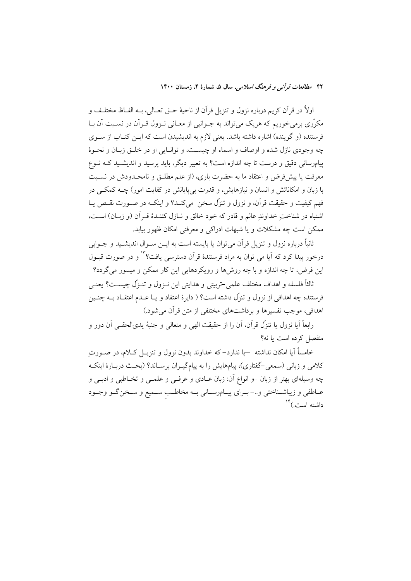اولاً در قرآن كريم درباره نزول و تنزيل قرآن از ناحيهٔ حــق تعــالي، بــه الفــاظ مختلـف و مکرّری برمیخوریم که هریک می تواند به جــوانبی از معــانی نــزول قــراّن در نســبت اّن بــا فرستنده (و گوینده) اشاره داشته باشد. یعنی لازم به اندیشیدن است که ایــن کتــاب از ســوی چه وجودي نازل شده و اوصاف و اسماء او چيست، و توانيايي او در خليق زبيان و نحبوهٔ پیامرسانی دقیق و درست تا چه اندازه است؟ به تعبیر دیگر، باید پرسید و اندیشـید کــه نــوع معرفت یا پیشفرض و اعتقاد ما به حضرت باری، (از علم مطلـق و نامحـدودش در نسـبت با زبان و امکاناتش و انسان و نیازهایش، و قدرت بی پایانش در کفایت امور) چــه کمکــی در فهم كيفيت و حقيقت قرآن، و نزول و تنزَّل سخن ً مي كنـد؟ و اينكــه در صــورت نقــص يــا اشتباه در شناختِ خداوندِ عالم و قادر که خود خالق و نـازل کننـدهٔ قـرأن (و زبـان) اسـت، ممکن است چه مشکلات و یا شبهات ادراکی و معرفتی امکان ظهور بیابد.

ثانياً درباره نزول و تنزيل قرآن مي توان يا بايسته است به ايــن ســوال انديشــيد و جــوابي درخور پيدا کرد که آيا مي توان به مراد فرستندۀ قرآن دسترسي يافت؟ <sup>١٣</sup> و در صورت قسول این فرض، تا چه اندازه و با چه روشها و رویکردهایی این کار ممکن و میسور میگردد؟

ثالثاً فلسفه و اهداف مختلف علمی –تربیتی و هدایتی این نیزول و تنبزک چیست؟ بعنبی فرستنده چه اهدافی از نزول و تنزّل داشته است؟ ( دایرهٔ اعتقاد و یـا عـدم اعتقــاد بــه چنــین اهدافی، موجب تفسیرها و پرداشتهای مختلفی از متن قرآن می شود.)

رابعاً آيا نزول يا تنزَّل قرآن، أن را از حقيقت الهي و متعالى و جنبهٔ يديالحقبي أن دور و منفصل كرده است يا نه؟

خامساً آيا امكان نداشته —يا ندارد–كه خداوند بدون نزول و تنزيــل كــلام، در صــورتِ کلامی و زبانی (سمعی–گفتاری)، پیامهایش را به پیامگیـران برسـاند؟ (بحـث دربـارهٔ اینکـه چه وسیلهای بهتر از زبان –و انواع آن: زبان عـادی و عرفـی و علمـی و تخـاطبی و ادبـی و عـاطفي و زيباشـناختي و..- بـراي پيــامرسـاني بــه مخاطـب ســميع و سـخنگـو وجــود داشته است) <sup>۱۴</sup>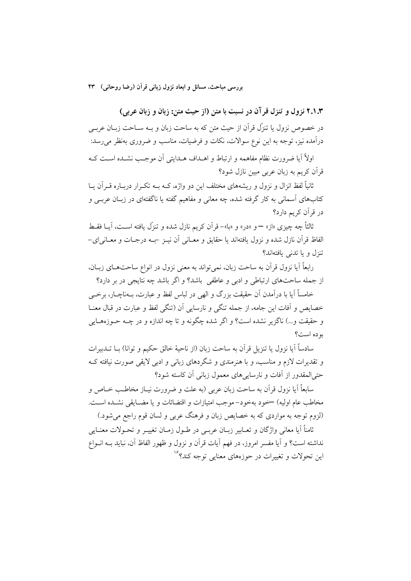بررسی مباحث، مسائل و ابعاد نزول زبانی قرآن (رضا روحانی) ۴۳

۲.۱.۳ نزول و تنزل قر آن در نسبت با متن (از حیث متن: زبان و زبان عربی)

در خصوص نزول یا تنزّل قرآن از حیث متن که به ساحت زبان و بــه ســاحت زبــان عربــی درآمده نیز، توجه به این نوع سوالات، نکات و فرضیات، مناسب و ضروری بهنظر میرسد:

اولاً آيا ضرورت نظام مفاهمه و ارتباط و اهــداف هــدايتي آن موجـب نشــده اســت كــه قرآن کریم به زبان عربی مبین نازل شود؟

ثانیاً لفظ انزال و نزول و ریشههای مختلف این دو واژه، کــه بــه تکــرار دربــاره قــرآن پــا کتابهای آسمانی به کار گرفته شده، چه معانی و مفاهیم گفته یا ناگفتهای در زبـان عربــی و در قرآن کریم دارد؟

ثالثاً چه چیزی «از» —و «در» و «با»–قرآن کریم نازل شده و تنزّل یافته اسـت، آیــا فقــط الفاظ قرآن نازل شده و نزول بافتهاند یا حقایق و معـانی آن نیـز -بـه درجـات و معـانی/ی-تنزل و یا تدنی بافتهاند؟

رابعاً آيا نزول قرآن به ساحت زبان، نمي تواند به معنى نزول در انواع ساحتهـاي زبـان، از جمله ساحتهای ارتباطی و ادبی و عاطفی باشد؟ و اگر باشد چه نتایجی در بر دارد؟

خامساً آیا با درآمدن آن حقیقت بزرگ و الهی در لباس لفظ و عبارت، بـهناچــار، برخــی خصايص و أفات اين جامه، از جمله تنگي و نارسايي أن (تنگي لفظ و عبارت در قبال معنــا و حقيقت و…) ناگزير نشده است؟ و اگر شده چگونه و تا چه اندازه و در چــه حــوزههــايي بو ده است؟

سادساً آيا نزول يا تنزيل قرآن به ساحت زبان (از ناحيهٔ خالق حکيم و توانا) بــا تـــدبيرات و تقدیرات لازم و مناسب، و با هنرمندی و شگردهای زبانی و ادبی لایقی صورت نیافته ک حتى المقدور از أفات و نارسايي هاى معمول زباني أن كاسته شود؟

سابعاً آيا نزول قرآن به ساحت زبان عربي (به علت و ضرورت نيــاز مخاطــب خــاص و مخاطب عام اوليه) —خود بهخود– موجب امتيازات و اقتضائات و يا مضـايقى نشـده اسـت. (لزوم توجه به مواردي كه به خصايص زبان و فرهنگ عربي و لسان قوم راجع مي شود.)

ثامناً آيا معاني واژگان و تعــابير زبــان عربــي در طــول زمــان تغييــر و تحــولات معنــايـي نداشته است؟ و آيا مفسر امروز، در فهم آيات قرآن و نزول و ظهور الفاظ آن، نبايد بـه انـواع این تحولات و تغییرات در حوزههای معنایی توجه کند؟<sup>۱۶</sup>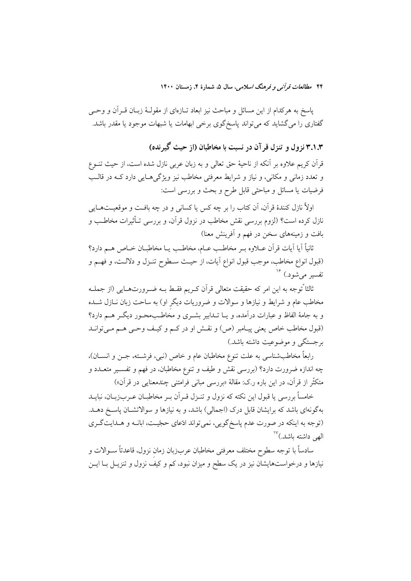پاسخ به هرکدام از این مسائل و مباحث نیز ابعاد تــازهای از مقولــهٔ زبــان قــراّن و وحـــی گفتاری را می گشاید که می تواند پاسخ گوی برخی ابهامات یا شبهات موجود یا مقدر باشد.

۳.۱.۳ نزول و تنزل قر آن در نسبت با مخاطبان (از حیث گیرنده)

قرآن کریم علاوه بر آنکه از ناحیهٔ حق تعالمی و به زبان عربی نازل شده است، از حیث تنــوع و تعدد زماني و مکاني، و نياز و شرايط معرفتي مخاطب نيز ويژگي هـايي دارد کــه در قالــب فرضیات یا مسائل و مباحثی قابل طرح و بحث و بررسی است:

اولاً نازل کنندهٔ قرآن، آن کتاب را بر چه کس یا کسانی و در چه یافت و موقعیتهبایی نازل کرده است؟ (لزوم بررسی نقش مخاطب در نزول قرآن، و بررسی تـأثیرات مخاطـب و بافت و زمینههای سخن در فهم و آفرینش معنا)

ثانياً آيا آيات قرآن عــلاوه بــر مخاطـب عــام، مخاطـب يــا مخاطبــان خــاص هــم دارد؟ (قبول انواع مخاطب، موجب قبول انواع آيات، از حيث سـطوح تنـزل و دلالـت، و فهـم و تفسیر می شود.) <sup>۱۶</sup>

ثالثا ًتوجه به این امر که حقیقت متعالی قرآن کـریم فقـط بــه ضــرورتـهــایی (از جملــه مخاطب عام و شرایط و نیازها و سوالات و ضروریات دیگر او) به ساحت زبان نــازل شــده و به جامهٔ الفاظ و عبارات درآمده، و یــا تــدابیر بشــری و مخاطــبـمحــور دیگــر هــم دارد؟ (قبول مخاطب خاص يعني پيـامبر (ص) و نقـش او در كـم و كيـف وحـي هـم مـيتوانـد بر جستگی و موضوعیت داشته باشد.)

رابعاً مخاطبشناسی به علت تنوع مخاطبان عام و خاص (نبی، فرشـته، جــن و انســان)، چه اندازه ضرورت دارد؟ (بررسی نقش و طیف و تنوع مخاطبان، در فهم و تفسـیر متعــدد و متكثَّر از قرآن، در اين باره ر.ك: مقالهٔ «بررسي مباني فرامتني چندمعنايي در قرآن»)

خامساً بررسی یا قبول این نکته که نزول و تنـزل قـراَن بـر مخاطبـان عـربزبـان، نبایــد بهگونهای باشد که برایشان قابل درک (اجمالی) باشد، و به نیازها و سوالاتشـان پاسـخ دهــد. (توجه به اینکه در صورت عدم پاسخگویی، نمیتواند ادّعای حجّیت، ابانـه و هـدایتگـری الهي داشته باشد.)<sup>۱۷</sup>

سادساً با توجه سطوح مختلف معرفتى مخاطبان عربزبان زمان نزول، قاعدتاً ســوالات و نیازها و درخواستهایشان نیز در یک سطح و میزان نبود، کم و کیف نزول و تنزیــل بــا ایــن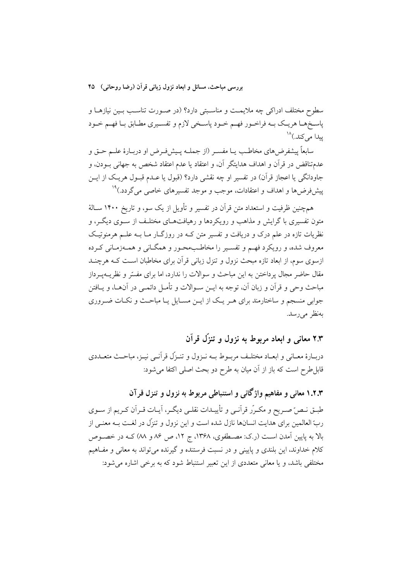بررسي مباحث، مسائل و ابعاد نزول زباني قرآن (رضا روحاني) ۴۵

سطوح مختلف ادراکی چه ملایمت و مناسـبتی دارد؟ (در صـورت تناسـب بـین نیازهـا و پاسـخهـا هريـک بـه فراخـور فهـم خـود پاسـخي لازم و تفسـيري مطـابق بـا فهـم خـود يبدا مي كند.)^``

سابعاً پیشفرضهای مخاطب یـا مفسـر (از جملــه پـیشفـرض او دربــارهٔ علــم حــق و عدمتناقض در قرأن و اهداف هدايتگر أن، و اعتقاد يا عدم اعتقاد شخص به جهاني بــودن، و جاودانگي يا اعجاز قرآن) در تفسير او چه نقشي دارد؟ (قبول يا عــدم قبــول هريــک از ايــن پیشفررها و اهداف و اعتقادات، موجب و موجد تفسیرهای خاصی میگردد.)<sup>۱۹</sup>

هم چنین ظرفیت و استعداد متن قرآن در تفسیر و تأویل از یک سو، و تاریخ ۱۴۰۰ سـالهٔ متون تفسیری با گرایش و مذاهب و رویکردها و رهیافتهـای مختلـف از ســوی دیگــر، و نظریات تازه در علم درک و دریافت و تفسیر متن کـه در روزگــار مــا بــه علــم هرمنوتیـک معروف شده، و رويكرد فهـم و تفسـير را مخاطـبِمحـور و همگـانى و همـهزمـانى كـرده ازسوی سوم، از ابعاد تازه مبحث نزول و تنزل زبانی قرآن برای مخاطبان است کـه هرچنــد مقال حاضر مجال پرداختن به این مباحث و سوالات را ندارد، اما برای مفسّر و نظریــهیــرداز مباحث وحی و قرآن و زبان آن، توجه به ایــن ســوالات و تأمــل دائمــی در آنهــا، و یــافتن جوابی منسجم و ساختارمند برای هـر یـک از ایـن مسـایل یـا مباحـث و نکـات ضـروری بەنظر مى رسد.

۲.۳ معانی و ابعاد مربوط به نزول و تنزَّل قرآن

دربـارهٔ معـاني و ابعـاد مختلـف مربـوط بـه نـزول و تنـزّل قرأنـي نيـز، مباحـث متعــددي قابلِ طرح است که باز از آن میان به طرح دو بحث اصلی اکتفا میشود:

۱.۲.۳ معانی و مفاهیم واژگانی و استنباطی مربوط به نزول و تنزل قرآن طبـق نـصرّ صـريح و مكـرّر قراّنـي و تأييـدات نقلـي ديگـر، أيـات قـراّن كـريم از سـوى ربّ العالمین برای هدایت انسانها نازل شده است و این نزول و تنزّل در لغـت بـه معنـی از بالا به پایین آمدن است (رک: مصـطفوی، ۱۳۶۸، ج ۱۲، ص ۸۶ و ۸۸) کـه در خصـوص کلام خداوند، این بلندی و پایینی و در نسبت فرستنده و گیرنده می تواند به معانی و مفـاهیم مختلفی باشد، و یا معانی متعددی از این تعبیر استنباط شود که به برخی اشاره می شود: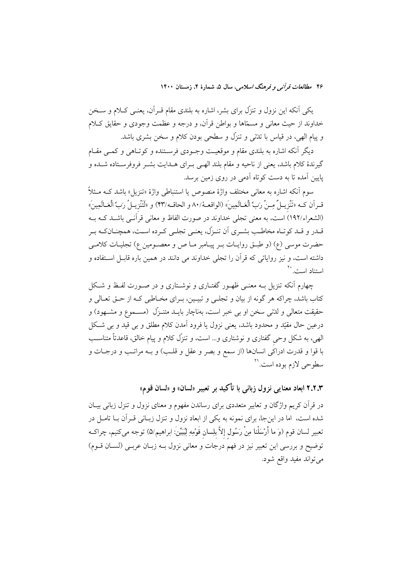یکی آنکه این نزول و تنزّل برای بشر، اشاره به بلندی مقام قــراَن، یعنــی کــلام و ســخن خداوند از حيث معاني و مسمّاها و بواطن قرأن، و درجه و عظمت وجودي و حقايق كـلام و پیام الهی، در قیاس با تدتنی و تنزّل و سطحی بودن کلام و سخن بشری باشد.

ديگر أنكه اشاره به بلندي مقام و موقعيت وجـودي فرسـتنده و كوتـاهي و كمـي مقـام گیرندهٔ کلام باشد، یعنی از ناحیه و مقام بلند الهـی بــرای هــدایت بشــر فروفرســتاده شــده و پایین آمده تا به دست کوتاه آدمی در روی زمین برسد.

سوم اَنکه اشاره به معان<sub>ی</sub> مختلف واژهٔ منصوص یا استنباطی واژهٔ «تنزیل» باشد کــه مــثلاً قـرآن كــه «تَنْزِيــلٌ مِـنْ رَبِّ الْعَـالَمِينِ» (الواقعـهْ/٨٠ و الحاقــه/٤٣) و «لَتَنْزِيــلُ رَبِّ الْعَـالَمِينِ» (الشعراء/١٩٢) است، به معنى تجلَّى خداوند در صورت الفاظ و معانى قرآنـى باشـد كـه بـه قــدر و قــد کو تــاه مخاطــب بشــري آن تنــزّل، يعنــي تجلــي کــرده اســت، همچنــانکــه بــر حضرت موسى (ع) (و طبـق روايـات بـر پيـامبر مـا ص و معصـومين ع) تجليـات كلامـي داشته است، و نیز روایاتی که قرآن را تجلی خداوند می دانند در همین باره قابـل اسـتفاده و استناد است.<sup>۲۰</sup>

چهارم آنکه تنزیل بـه معنـی ظهـور گفتـاری و نوشـتاری و در صـورت لفـظ و شـکل کتاب باشد، چراکه هر گونه از بیان و تجلبی و تبیـین، بـرای مخـاطبی کـه از حــق تعــالی و حقیقت متعالی و لدتنی سخن او بی خبر است، بهناچار بایــد متنــزّل (مســموع و مشــهود) و درعین حال مقیّد و محدود باشد، یعنی نزول یا فرود آمدن کلام مطلق و بی قید و بی شکل الهي، به شكل وحي گفتاري و نوشتاري و... است، و تنزّل كلام و پيام خالق، قاعدتاً متناسب با قوا و قدرت ادراکی انسانها (از سمع و بصر و عقل و قلـب) و بــه مراتـب و درجــات و سطوحي لازم بوده است.<sup>۲۱</sup>

۲.۲.۳ ابعاد معنایی نزول زبانی با تأکید بر تعبیر «لسان» و «لسان قوم»

در قرآن کریم واژگان و تعابیر متعددی برای رساندن مفهوم و معنای نزول و تنزل زبانی بیـان شده است، اما در اینجا، برای نمونه به یکی از ابعاد نزول و تنزل زبـانی قـراَن بـا تامـل در تعبير لسان قوم (وَ ما أَرْسَلْنا مِنْ رَسُول إلاَّ بلِسان قَوْمِهِ لِيُبَيِّنَ: ابراهيم/۵) توجه مىكنيم، چراكـه توضيح و بررسي اين تعبير نيز در فهم درجات و معاني نزول بـه زبـان عربـي (لسـان قــوم) مي تواند مفيد واقع شود.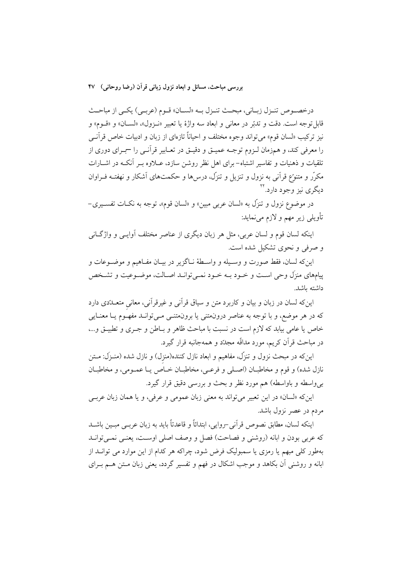درخصوص تنـزل زبـاني، مبحـث تنـزل بــه «لســان» قــوم (عربــى) يكــى از مباحــث قابل توجه است. دقت و تدبّر در معاني و ابعاد سه واژهٔ يا تعبير «نـزول»، «لســان» و «قــوم» و نيز تركيب «لسان قوم» مي تواند وجوه مختلف و احياناً تازەاي از زبان و ادبيات خاص قرآنسي را معرفي كند، و همزمان لـزوم توجــه عميــق و دقيــق در تعــابير قرأنــي را –بــراي دوري از تلقیات و ذهنیات و تفاسیر اشتباه– برای اهل نظر روشن سازد، عــلاوه بــر آنکــه در اشــارات مکرّر و متنوّع قرآنی به نزول و تنزیل و تنزّل، درس۵ا و حکمتهای آشکار و نهفتـه فــراوان دیگری نیز وجود دارد.<sup>۲۲</sup>

در موضوع نزول و تنزَّل به «لسان عربي مبين» و «لسان قوم»، توجه به نكــات تفســيري− تأويلي زير مهم و لازم مي نمايد:

اینکه لسان قوم و لسان عربی، مثل هر زبان دیگری از عناصر مختلف آوایـبی و واژگــانبی و صرفی و نحوی تشکیل شده است.

اين كه لسان، فقط صورت و وسـيله و واسـطهٔ نـاگزير در بيـان مفـاهيم و موضـوعات و پیامهای منزل وحی است و خـود بـه خـود نمـی توانـد اصـالت، موضـوعیت و تشـخص داشته ىاشد.

اینکه لسان در زبان و بیان و کاربرد متن و سیاق قرآنی و غیرقرآنی، معانی متعــدّدی دارد که در هر موضع، و با توجه به عناصر درونهتنی یا برونهتنـی مـیتوانـد مفهـوم یـا معنـایی خاص يا عامي بيابد كه لازم است در نسبت با مباحث ظاهر و بـاطن و جـرى و تطبيــق و...، در مباحث قرأن كريم، مورد مداقّه مجدّد و همهجانبه قرار گيرد.

اینکه در مبحث نزول و تنزّل، مفاهیم و ابعاد نازل کننده(منزل) و نازل شده (منـزَل: مـتن نازل شده) و قوم و مخاطبـان (اصـلي و فرعـي، مخاطبـان خـاص يـا عمـومي، و مخاطبـان بی واسطه و باواسطه) هم مورد نظر و بحث و بررسی دقیق قرار گیرد.

اینکه «لسان» در این تعبیر میتواند به معنی زبان عمومی و عرفی، و یا همان زبان عربے مردم در عصر نزول باشد.

اينكه لسان، مطابق نصوص قرآني –روايي، ابتدائاً و قاعدتاً بايد به زبان عربـي مبـين باشــد كه عربي بودن و ابانه (روشني و فصاحت) فصل و وصف اصلي اوست، يعنـي نمـي توانـد بهطور کلی مبهم یا رمزی یا سمبولیک فرض شود، چراکه هر کدام از این موارد می توانــد از ابانه و روشنی آن بکاهد و موجب اشکال در فهم و تفسیر گردد، یعنی زبان مـتن هــم بــرای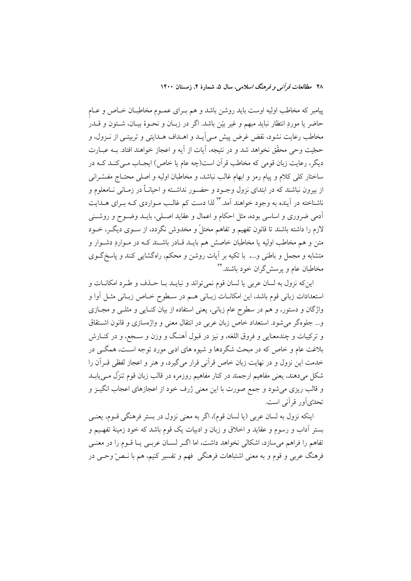پیامبر که مخاطب اولیه اوست باید روشن باشد و هم بـرای عمـوم مخاطبـان خـاص و عـام حاضر يا موردِ انتظار نبايد مبهم و غير بيّن باشد. اگر در زبـان و نحــوهٔ بيــان، شــئون و قــدر مخاطب رعایت نشود، نقض غرض پیش مـی]یـد و اهـداف هـدایتی و تربیتـی از نـزول، و حجّيت وحي محقّق نخواهد شد و در نتيجه، أيات از أيه و اعجاز خواهند افتاد. بــه عبــارت دیگر، رعایت زبان قومی که مخاطب قرآن است(چه عام یا خاص) ایجـاب مـیکنـد کـه در ساختار کلی کلام و پیام رمز و ابهام غالب نباشد، و مخاطبان اولیه و اصلی محتـاج مفسّــرانی از بیرون نباشند که در ابتدای نزول وجـود و حضـور نداشـته و احیانــاً در زمــانـی نــامعلوم و ناشناخته در آینده به وجود خواهند آمد.\*\* لذا دست کم غالـب مـواردی کــه بــرای هــدایت ۔<br>ادمی ضروری و اساسی بوده، مثل احکام و اعمال و عقاید اصـلی، بایــد وضــوح و روشــنی لازم را داشته باشند تا قانون تفهیم و تفاهم مختلٌ و مخدوش نگردد، از سـوی دیگـر، خــود متن و هم مخاطب اولیه یا مخاطبان خاصش هم بایــد قــادر باشــند کــه در مــواردِ دشــوار و متشابه و مجمل و باطنی و…، با تکیه بر آیات روشن و محکم، راهگشایی کنند و یاسخگوی مخاطبان عام و پرسش گران خود باشند.\*۲

اینکه نزول به لسان عربی یا لسان قوم نمیتواند و نبایــد بــا حــذف و طـرد امکانــات و استعدادات زبانی قوم باشد، این امکانــات زبــانی هــم در ســطوح خــاص زبــانی مثــل أوا و واژگان و دستور، و هم در سطوح عام زبانی، یعنی استفاده از بیان کنـایی و مثلـی و مجـازی و... جلوهگر می شود. استعداد خاص زبان عربی در انتقال معنی و واژهسازی و قانون اشتقاق و ترکیبات و چندمعنایی و فروق اللغه، و نیز در قبول آهنگ و وزن و سـجع، و در کنــارش بلاغت عام و خاص که در مبحث شگردها و شیوه های ادبی مورد توجه اسـت، همگــی در خدمت این نزول و در نهایت زبان خاص قرآنی قرار میگیرد، و هنر و اعجاز لفظی قــراَن را شکل میدهند، یعنی مفاهیم ارجمند در کنار مفاهیم روزمره در قالب زبان قوم تنزِّل مــیLیابــد و قالب ریزی میشود و جمع صورت با این معنی ژرف خود از اعجازهای اعجاب انگیــز و تحدِّي]ور قرأني است.

اینکه نزول به لسان عربی (یا لسان قوم)، اگر به معنی نزول در بستر فرهنگی قـوم، یعنـی بستر اَداب و رسوم و عقاید و اخلاق و زبان و ادبیات یک قوم باشد که خود زمینهٔ تفهـیم و تفاهم را فراهم می سازد، اشکالی نخواهد داشت، اما اگـر لســان عربــی یــا قــوم را در معنــی فرهنگ عربي و قوم و به معنى اشتباهات فرهنگي فهم و تفسير كنيم، هم با نـصرّ وحـي در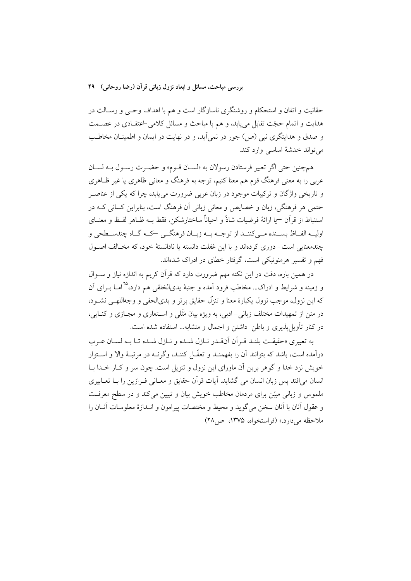حقانیت و اتقان و استحکام و روشنگری ناسازگار است و هم با اهداف وحـی و رسـالت در هدایت و اتمام حجّت تقابل می یابد، و هم با مباحث و مسائل کلامی اعتقـادی در عصــمت و صدق و هدایتگری نبی (ص) جور در نمیآید، و در نهایت در ایمان و اطمینـان مخاطـب مي تواند خدشة اساسي وارد كند.

همچنين حتى اگر تعبير فرستادن رسولان به «لسـان قـوم» و حضـرت رسـول بـه لسـان عربی را به معنی فرهنگ قوم هم معنا کنیم، توجه به فرهنگ و معانی ظاهری یا غیر ظـاهری و تاریخی واژگان و ترکیبات موجود در زبان عربی ضرورت می یابد، چرا که یکی از عناصـر حتمي هر فرهنگي، زبان و خصايص و معاني زباني آن فرهنگ است، بنابراين كساني كــه در استنباط از قرآن —يا ارائهٔ فرضيات شاذٌ و احياناً ساختارشكن، فقط بـه ظـاهر لفـظ و معنــاي اولیــه الفــاظ بســنده مــيكننــد از توجــه بــه زبــان فرهنگــي كــه گــاه چندســطحي و چندمعنایی است– دوری کردهاند و با این غفلت دانسته یا نادانستهٔ خود، که مخـالف اصـول فهم و تفسیر هرمنوتیکی است، گرفتار خطای در ادراک شدهاند.

در همین باره، دقت در این نکته مهم ضرورت دارد که قرآن کریم به اندازه نیاز و ســوال و زمینه و شرایط و ادراک… مخاطب فرود آمده و جنبهٔ یدیالخلقی هم دارد،°<sup>۲</sup> امـا بــرای آن که این نزول، موجب نزول یکبارهٔ معنا و تنزّل حقایق برتر و پدیالحقی و وجهاللهبی نشـود، در متن از تمهیدات مختلف زبانی-ادبی، به ویژه بیان مَثَلی و اســتعاری و مجــازی و کنــایی، در کنار تأویل پذیری و باطن ۖ داشتن و اجمال و متشابه... استفاده شده است.

به تعبیری «حقیقت بلنـد قـرأن أنفـدر نـازل شـده و نـازل شـده تـا بـه لسـان عـرب درآمده است، باشد که بتوانند آن را بفهمنـد و تعقّـل کننـد، وگرنــه در مرتبــهٔ والا و اســتوار خویش نزد خدا و گوهر برین آن ماورای این نزول و تنزیل است. چون سر و کـار خـدا بـا انسان مي افتد پس زبان انسان مي گشايد. آيات قر آن حقايق و معــاني فــرازين را بــا تعــابيري ملموس و زبانی مبیّن برای مردمان مخاطب خویش بیان و تبیین میکند و در سطح معرفت و عقول أنان با أنان سخن مي گويد و محيط و مختصات پيرامون و انـدازهٔ معلومـات أنــان را ملاحظه مے دارد.» (فراستخواه، ۱۳۷۵، ص۱۸)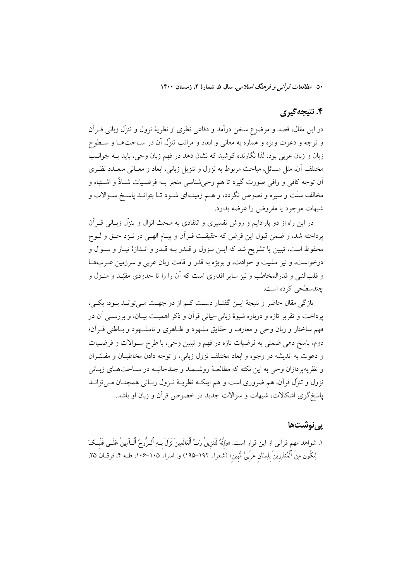## ۴. نتیجهگیری

در این مقال، قصد و موضوع سخن درآمد و دفاعی نظری از نظریهٔ نزول و تنزّل زبانی قــراَن و توجه و دعوت ویژه و هماره به معانی و ابعاد و مراتب تنزّل آن در ســاحتهــا و ســطوح زبان و زبان عربی بود، لذا نگارنده کوشید که نشان دهد در فهم زبان وحی، باید بـه جوانـب مختلف آن، مثل مسائل، مباحث مربوط به نزول و تنزيل زباني، ابعاد و معـاني متعـدد نظـري اّن توجه کافی و وافی صورت گیرد تا هم وحی شناسی منجر بـه فرضـیات شــاذٌ و اشــتباه و مخالف سنّت و سیره و نصوص نگردد، و هــم زمینــهای شــود تــا بتوانــد پاســخ ســوالات و شبهات موجود يا مفروض را عرضه بدارد.

در این راه از دو پارادایم و روش تفسیری و انتقادی به مبحث انزال و تنزّل زبــانی قــراَن پرداخته شد، و ضمن قبول این فرض که حقیقت قـرآن و پیـام الهـی در نــزد حــق و لــوح محفوظ است، تبيين يا تشريح شد كه ايــن نــزول و قــدر بــه قــدر و انــدازهٔ نيــاز و ســوال و درخواست، و نیز مشیت و حوادث، و بویژه به قدر و قامت زبان عربی و سرزمین عـربهـا و قلبالنبي و قدرالمخاطب و نيز ساير اقداري است كه آن را را تا حدودي مقيّد و منـزل و چندسطحی کرده است.

تازگی مقال حاضر و نتیجهٔ ایــن گفتــار دســت کــم از دو جهــت مــیتوانــد بــود: یکــی، یرداخت و تقریر تازه و دوباره شیوهٔ زبانی -بیانی قرآن و ذکر اهمیت بیـان، و بررســی آن در فهم ساختار و زبان وحی و معارف و حقایق مشهود و ظـاهری و نامشــهود و بـاطنی قــران؛ دوم، ياسخ دهي ضمني به فرضيات تازه در فهم و تبيين وحي، با طرح سـوالات و فرضـيات و دعوت به اندیشه در وجوه و ابعاد مختلف نزول زبانی، و توجه دادن مخاطبان و مفسّـران و نظریهپردازان وحی به این نکته که مطالعـهٔ روشـمند و چندجانبـه در سـاحتهـای زبـانی نزول و تنزِّل قرأن، هم ضروري است و هم اينکــه نظريــهٔ نــزول زبــاني همچنــان مــيتوانــد یاسخگوی اشکالات، شبهات و سوالات جدید در خصوص قرآن و زبان او باشد.

### ی<sub>بی</sub>نوشتھا

١. شواهد مهم قرآني از اين قرار است: «وَإِنَّهُ لَتَنزِيلُ رَبٍّ ٱلْعَالَمِينَ نَزَلَ بِـهِ ٱلـرُّوحُ ٱلْـأمِينُ عَلَــى قَلْبــكَ لِتَكُونَ مِنَ ٱلْمُنذرِينَ بِلِسَانِ عَرَبِىٍّ مُّبينِ» (شعراء ١٩٢–١٩٥) و: اسراء ١٠۵–١٠۶، طــه ۴، فرقــان ٢۵،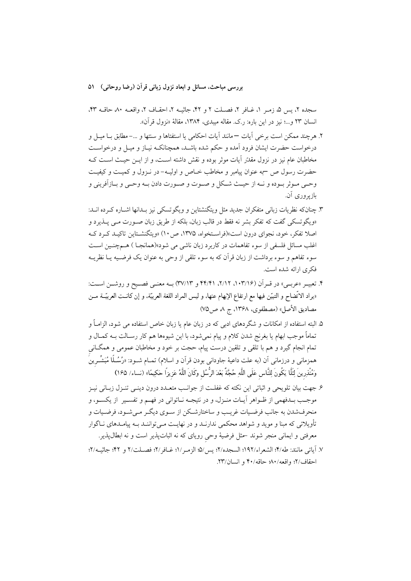بررسی مباحث، مسائل و ابعاد نزول زبانی قرآن (رضا روحانی) ۵۱

سجده ۲، پس ۵، زمـر ۱، غــافر ۲، فصــلت ۲ و ۴۲، جاثیــه ۲، احقــاف ۲، واقعــه ۸۰ حاقــه ۴۳، انسان ٢٣ و...؛ نيز در اين باره: رك. مقاله ميبدي، ١٣٨۴، مقالهٔ «نزول قرآن».

- ٢. هرچند ممكن است برخي آيات —مانند آيات احكامي يا استفتاها و سنتها و …–مطابق بــا ميــل و درخواست حضرت ايشان فرود آمده و حكم شده باشـد، همچنانكــه نيــاز و ميــل و درخواســت مخاطبان عام نیز در نزول مقدّر آیات موثر بوده و نقش داشته است، و از ایــن حیــث اســت کــه حضرت رسول ص –به عنوان پیامبر و مخاطب خــاص و اولیــه- در نــزول و کمیــت و کیفیــت وحـي مـوثر بـوده و نــه از حيـث شـكل و صـوت و صـورت دادن بــه وحـي و بــازاَفريني و بازیږ ورې ان.
- ٣. چنانکه نظریات زبانی متفکران جدید مثل ویتگنشتاین و ویگوتسکی نیز بـدانها اشــاره کـرده انــد: «ویگوتسکی گفت که تفکر بشر نه فقط در قالب زبان، بلکه از طریق زبان صـورت مـی پــذیرد و اصلا تفکر، خود، نجوای درون است»(فراسـتخواه، ۱۳۷۵، ص ۱۰) «ویتگنشـتاین تاکیـد کـرد کـه اغلب مسائل فلسفی از سوء تفاهمات در کاربرد زبان ناشی می شود»(همانجــا ) هــم=نبن اســت سوء تفاهم و سوء برداشت از زبان قرآن که به سوء تلقی از وحی به عنوان یک فرضـیه یــا نظریــه فکری ارائه شده است.
- ۴. تعبيـر «عربـي» در قـرآن (١٠٣/١٤، ٢/١٢، ٢٢/٢١) و ٣٧/١٣) بـه معنــي فصــيح و روشــن اســت: «يراد الاتِّضاح و التبيّن فيها مع ارتفاع الإبهام عنها، و ليس المراد اللغة العربيّة، و إن كانـت العربيّــة مــن مصاديق الأصل» (مصطفوي، ١٣۶٨، ج ٨ ص٧٥)
- ۵. البته استفاده از امکانات و شگردهای ادبی که در زبان عام یا زبان خاص استفاده می شود، الزامـاً و تماماً موجب ابهام يا بغرنج شدن كلام و پيام نمي شود، با اين شيوهها هم كار رســالت بــه كمــال و تمام انجام گیرد و هم با تلقی و تلقین درست پیام، حجت بر خود و مخاطبان عمومی و همگــانی همزمانی و درزمانی اَن (به علت داعیهٔ جاودانی بودن قراَن و اسلام) تمــام شــود: «رُسُــلًا مُبَشِّــرينَ وَمُنْذِرِينَ لِئَلَّا يَكُونَ لِلنَّاسِ عَلَى اللَّهِ حُجَّةٌ بَعْدَ الرُّسُلِ وَكَانَ اللَّهُ عَزِيزًا حَكِيمًا» (نساء/ ١۶۵)
- ۶. جهت بیان تلویحی و اثباتی این نکته که غفلـت از جوانـب متعــدد درون دینــی تنــزل زبــانی نیــز موجـب بــدفهمي از ظــواهر آيــات منــزل، و در نتيجــه نــاتواني در فهــم و تفســير ً از يكســو، و منحرفشدن به جانب فرضیات غریـب و ساختارشـکن از سـوی دیگـر مـم شـود، فرضـیات و تأویلاتی که مبنا و موید و شواهد محکمی ندارنــد و در نهایــت مــیتواننــد بــه پیامــدهای نــاگوار معرفتی و ایمانی منجر شوند حمثل فرضیهٔ وحی رویای که نه اثباتپذیر است و نه ابطال پذیر.
- ٧. آياتي مانند: طه/۴؛ الشعراء/١٩٢؛ السجده/٢؛ يس/۵؛ الزمـر/١؛ غــافر/٢؛ فصــلت/٢ و ۴۲؛ جاثيــه/٢؛ احقاف/٢؛ واقعه/٨٠؛ حاقه/٤٠ و انسان/٢٣.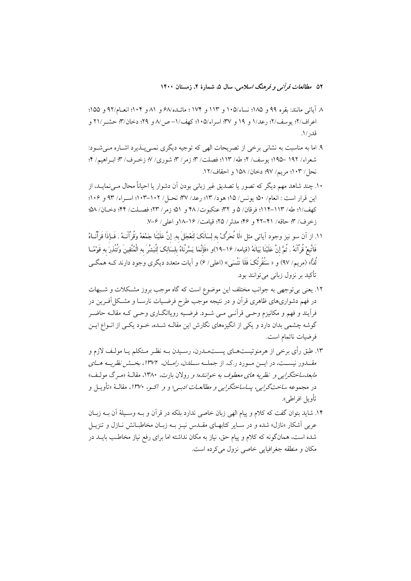۵۲ م*طالعات قرآن<sub>ه ،</sub> و فرهنگ اسلامی*، سال ۵، شمارهٔ ۴، زمستان ۱۴۰۰

- ٨ آياتي مانند: بقره ٩٩ و ١٨٥؛ نساء/١٠٥ و ١١٣ و ١٧٤ ؛ مائــده/۶ و ٨١ و ١٠٤؛ انعــام/٩٢ و ١۵۵؛ اعراف/٢؛ يوسف/٢؛ رعد/١ و ١٩ و ٣٧؛ اسراء/١٠٥؛ كهف/١- ص/٨ و ٢٩؛ دخان/٣؛ حشـر /٢١ و قد, /١.
- ۹. اما به مناسبت به نشانی برخی از تصریحات الهی که توجیه دیگری نمبی پــذیرد اشــاره مــی شــود: شعراء/ ١٩٢ –١٩٥؛ يوسف/ ٢؛ طه/ ١١٣؛ فصلت/ ٣؛ زمر/ ٣؛ شوري/ ٧؛ زخـرف/ ٣؛ ابـراهيم/ ۴؛ نحل/ ١٠٣؛ مريم/ ٩٧؛ دخان/ ١۵٨ و احقاف/١٢.
- ۱۰. چند شاهد مهم دیگر که تصور یا تصدیق غیر زبانی بودن آن دشوار یا احیاناً محال مے نمایـد، از این قرار است : انعام/ ۵۰؛ یونس/ ۱۵؛ هود/ ۱۳؛ رعد/ ۳۷؛ نحـل/ ۱۰۲–۱۰۳؛ اسـراء/ ۹۳ و ۱۰۶؛ كهف/١؛ طه/ ١١٣-١١٤؛ فرقان/ ۵ و ٣٢؛ عنكبوت/ ۴٨ و ٥١؛ زمر/ ٢٣؛ فصـلت/ ۴۴؛ دخـان/ ٥٨؛ زخرف/ ٣؛ حاقه/ ٤١-٤٢ و ٤٤؛ مدثر/ ٢۵؛ قيامت/ ١۶-١٨و اعلى/ ٣-٧.
- ١١. از آن سو نيز وجود آياتي مثل «لَا تُحَرِّکْ به لِسَانَکَ لِتَعْجَلَ به ِ إِنَّ عَلَيْنَا جَمْعَهُ وَقُرْآنَـهُ . فَـإِذَا قَرَآنَــاهُ فَاتَّبِعْ قُرْآنَهُ . ثُمَّ إِنَّ عَلَيْنَا بَيَانَهُ (قيامه/ ١۶–١٩)و «فَإِنَّمَا يَسَّرْنَاهُ بِلِسَانِكَ لِتُبتشّ بِهِ الْمُتَّقِينَ وَتُتنْذِرَ بِهِ قَوْمًــا لُدًّا» (مريم/ ٩٧) و « سَنُقْرِئُکَ فَلَا تَتْسَىي» (اعلي/ ۶) و آيات متعدد ديگر ي وجود دارند کــه همگــي تأکید بر نزول زبانی می توانند بود.
- ۱۲. یعنی بیتوجهی به جوانب مختلف این موضوع است که گاه موجب بروز مشکلات و شـبهات در فهم دشواریهای ظاهری قرآن و در نتیجه موجب طرح فرضـیات نارسـا و مشـكل|َفـرین در فرآیند و فهم و مکانیزم وحـی قرآنـی مـی شـود. فرضـیه رویاانگــاری وحـی کـه مقالــه حاضـر گوشه چشمی بدان دارد و یکی از انگیزههای نگارش این مقالـه شــده، خــود یکــی از انــواع ایــن فرضيات ناتمام است.
- ۱۳. طبق رأى برخي از هرمنوتيستهـاي پســتمـدرن، رسـيدن بــه نظـر مـتكلم يــا مولـف لازم و مقــدور نیســت، در ایــن مــورد ر.ک. از جملــه *ســلدن، رامــان، ۱۳۷۲، بخــش نظریــه هــای* مابعدساختگرایی و نظریه های معطوف به خواننده؛ و رولان بارت، ۱۳۸۰، مقالهٔ «مرگ مولف» در مجموعه *ساختگرایی، پساساختگرایی و مطالعـات ادبـی*؛ و *و اکـو، ۱۳۷۰،* مقالـهٔ «تأویـل و تأويل افراطي».
- ۱۴. شاید بتوان گفت که کلام و پیام الهی زبان خاصی ندارد بلکه در قرآن و بـه وسـیلهٔ آن بـه زبـان عربی آشکار «نازل» شده و در سـایر کتابهـای مقــدس نیــز بــه زبــان مخاطبــانش نــازل و تنزیــل شده است، همانگونه که کلام و پیام حق، نیاز به مکان نداشته اما برای رفع نیاز مخاطب بایــد در مکان و منطقه جغرافیایی خاصی نزول می کرده است.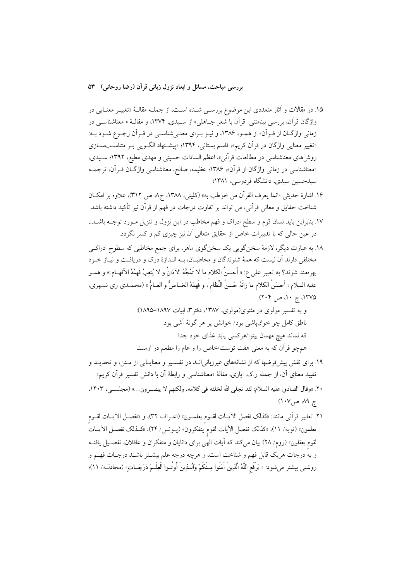۱۵. در مقالات و آثار متعددی این موضوع بررسـی شـده اسـت، از جملـه مقالـهٔ «تغییـر معنـایی در واژگان قرآن، بررسی بینامتنی قرآن با شعر جـاهلی» از سـیدی، ۱۳۷۴، و مقالـهٔ « معناشناسـی در زمانی واژگان از قـرآن» از همـو، ۱۳۸۶، و نيـز بـراي معنـیشناسـی در قـرآن رجـوع شـود بـه: «تغییر معنایی واژگان در قرآن کریم»، قاسم بستانی، ۱۳۹۴؛ «پیشـنهاد الگـویی بـر متناسـبسـازی روشهای معناشناسی در مطالعات قرآنی»، اعظم السادات حسینی و مهدی مطیع، ۱۳۹۲؛ سـیدی، «معناشناسی در زمانی واژگان از قرآن»، ۱۳۸۶؛ عظیمه، صالح، معناشناسی واژگـان قــرآن، ترجمــه سیدحسین سیدی، دانشگاه فردوسی، ۱۳۸۱؛

- ۱۶. اشارهٔ حدیثی «انما یعرف القرآن من خوطب به» (کلینی، ۱۳۸۸، ج۸ ص ۳۱۲)، علاوه بر امکـان شناخت حقایق و معانی قرآنی، می تواند بر تفاوت درجات در فهم از قرآن نیز تأکید داشته باشد. ١٧. بنابراين بايد لسان قوم و سطح ادراك و فهم مخاطب در اين نزول و تنزيل مـورد توجــه باشــد.، در عین حالی که با تدبیرات خاص از حقایق متعالی آن نیز چیزی کم و کسر نگردد.
- ۱۸. به عبارت دیگر، لازمهٔ سخنگویی یک سخنگوی ماهر، برای جمع مخاطبی که سطوح ادراکـی مختلفی دارند آن نیست که همهٔ شنوندگان و مخاطبـان، بـه انــدازهٔ درک و دریافـت و نیـاز خــود بهرهمند شوند؟ به تعبير على ع: « أحسَنُ الكلام ما لا تَمُجُّهُ الآذانُ و لا يُتعِبُ فَهِمُهُ الأفهــام.» و همــو عليه السلام : أحسَنُ الكلام ما زانَهُ حُسنُ النِّظام ، و فَهمَهُ الخــاصُّ و العــامُّ » (محمــدى رى شــهرى، ۱۳۷۵، ج ۱۰، ص ۲۰۴)
	- و به تفسیر مولوی در مثنوی(مولوی، ۱۳۸۷، دفتر۳، ابیات ۱۸۹۷-۱۸۹۵): ناطق کامل چو خوان،اشی بود/ خوانش پر هر گونهٔ آشی بود كه نماند هيچ مهمان بينوا/هركسي يابد غذاي خود جدا همچو قرأن كه به معنى هفت توست/خاص را و عام را مطعم در اوست
- ۱۹. برای نقش پیش فرضها که از نشانههای غیرزبانیانــد در تفســیر و معنایــابی از مــتن، و تحدیــد و تقييد معناي آن، از جمله ر.ک. ايازي، مقالهٔ «معناشناسي و رابطهٔ آن با دانش تفسير قرآن کريم».
- ٢٠. «وقال الصادق عليه السلام: لقد تجلَّى الله لخلقه في كلامه، ولكنهم لا يبصـرون...» (مجلسـي، ١٤٠٣، ج ۸۹ ص۱۰۷)

٢١. تعابير قرآني مانند: «كذلك نفصل الآيــات لقــوم يعلمــون» (اعــراف ٣٢)، و «نفصــل الآيــات لقــوم يعلمون» (توبه/ ١١)، «كذلك نفصل الآيات لقوم يتفكرون» (يــونس/ ٢۴)، «كــذلك نفصــل الآيــات لقوم یعقلون» (روم/ ۲۸) بیان میکند که آیات الهی برای دانایان و متفکران و عاقلان، تفصـیل یافتــه و به درجات هریک قابل فهم و شناخت است، و هرچه درجه علم بیشــتر باشــد درجــات فهــم و روشني بيشتر مي شود: « يَرْفَع اللَّهُ أَلْذِينَ آمَنُوا مِـنْكُمْ وَأَلْـذِينَ أُوتُـوا الْعِلْـمَ دَرَجَــاتٍ» (مجادلـه/ ١١)؛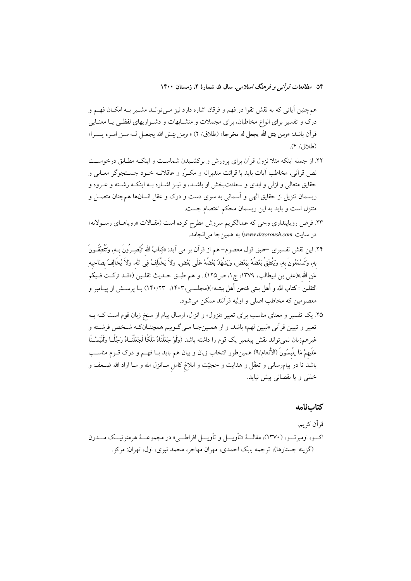۵۴ م*طالعات قرآن<sub>ه ،</sub> و فرهنگ اسلامی*، سال ۵، شمارهٔ ۴، زمستان ۱۴۰۰

همچنین آیاتی که به نقش تقوا در فهم و فرقان اشاره دارد نیز مـیتوانــد مشــیر بــه امکــان فهــم و درک و تفسیر برای انواع مخاطبان، برای مجملات و متشـابهات و دشـواریهای لفظـی یـا معنـایی قرآن باشد: «ومن يتق الله يجعل له مخرجا» (طلاق/ ٢) « ومِن يتـق الله يجعـل لـه مــز امـره يســرا»  $(\mathcal{A}/\mathcal{A})$ .

- ۲۲. از جمله اینکه مثلا نزول قرآن برای پرورش و برکشـیدن شماسـت و اینکـه مطـابق درخواسـت نص قرآنی، مخاطب آیات باید با قرائت متدبرانه و مکـرّر و عاقلانــه خــود جســتجوگر معــانی و حقایق متعالی و ازلی و ابدی و سعادتبخش او باشـد، و نیـز اشـاره بـه اینکـه رشـته و عـروه و ریسمان تنزیل از حقایق الهی و آسمانی به سوی دست و درک و عقل انسانها همچنان متصـل و متنزل است و باید به این ریسمان محکم اعتصام جست.
- ۲۳. فرض رویاپنداری وحی که عبدالکریم سروش مطرح کرده است (مقـالات «رویاهـای رســولانه» در سايت www.drsoroush.com) به همين جا مي انجامد.
- ۲۴. این نقش تفسیری —طبق قول معصوم– هم از قرآن بر می آید: «کِتَابُ الله تُبْصِـرُونَ بــهِ، وَتَنْطِقُــونَ بهِ، وَتَسْمَعُونَ بِهِ، وَيَنْطِقُ بَعْضُهُ بَبَعْضٍ، وَيَشْهَدُ بَعْضُهُ عَلَى بَعْضٍ، ولاَ يَخْتَلِفُ فِي اللهِ، ولاَ يُخَالِفُ بِصَاحِبِهِ عَنِ اللهِ »(علي بن ابيطالبِ، ١٣٧٩، ج١، ص١٢٥).. و هم طبـق حــديث ثقلــين («قــد تركــت فــيكم الثقلين : كتاب الله و أهل بيتي فنحن أهل بيتـه»)(مجلسـي،١۴٠٣، ١٣٠/٢٣) بــا يرســش از يبــامبر و معصومین که مخاطب اصلی و اولیه قرآنند ممکن می شود.

۲۵. یک تفسیر و معنای مناسب برای تعبیر «نزول» و انزال، ارسال پیام از سنخ زبان قوم است کـه بـه تعبیر و تبیین قرآنی «لیبین لهم» باشد، و از همـینجـا مـیگـوییم همچنــانکـه شــخص فرشــته و غیرهمزبان نمیتواند نقش پیغمبر یک قوم را داشته باشد (وَلَوْ جَعَلْنَاهُ مَلَکًا لَجَعَلْنَــاهُ رَجُلًــا وَلَلَبَسْـنَا عَلَيهمْ مَا يلْبِسُونَ (الأنعام/٩) همين﴿ور انتخاب زبان و بيان هم بايد بــا فهــم و درک قــوم مناســب باشد تا در پیامرسانی و تعقّل و هدایت و حجیّت و ابلاغ کامل مــاانزل الله و مــا اراد الله ضــعف و خللي و يا نقصاني پيش نيايد.

#### كتابنامه

قر اَن کر يم. اكـــو، اومبرتـــو، (١٣٧٠)، مقالــــهٔ «تأويــــل و تأويــــل افراطــــي» در مجموعـــهٔ هرمنوتيـــك مــــدرن (گزینه جستارها)، ترجمه بابک احمدی، مهران مهاجر، محمد نبوی، اول، تهران: مرکز.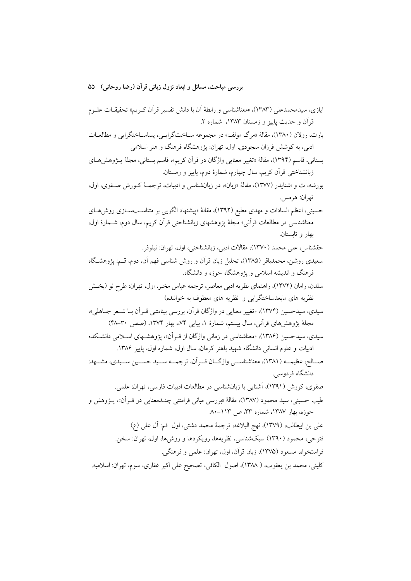بررسي مباحث، مسائل و ابعاد نزول زباني قرآن (رضا روحاني) ٥٥

ايازي، سيدمحمدعلي (١٣٨٣)، «معناشناسي و رابطهٔ أن با دانش تفسير قرأن كـريم» تحقيقــات علــوم قرآن و حديث پاييز و زمستان ١٣٨٣، شماره ٢. بارت، رولان (۱۳۸۰)، مقالهٔ «مرگ مولف» در مجموعه سـاختگرایـی، پساسـاختگرایی و مطالعـات ادبی، به کوشش فرزان سجودی، اول، تهران: پژوهشگاه فرهنگ و هنر اسلامی بستاني، قاسم (١٣٩۴)، مقالهٔ «تغيير معنايي واژگان در قرآن كريم»، قاسم بستاني، مجلهٔ پـژوهشهـاي زبانشناختی قرآن کریم، سال چهارم، شمارهٔ دوم، پاییز و زمستان. بورشه، ت و اشنایدر (۱۳۷۷)، مقالهٔ «زبان»، در زبانشناسی و ادبیات، ترجمـهٔ کـورش صـفوی، اول، تھران: هرمس. حسینی، اعظم السادات و مهدی مطیع (۱۳۹۲)، مقالهٔ «پیشنهاد الگویی بر متناسـبسـازی روش۵حای معناشناسی در مطالعات قرآنی» مجلهٔ پژوهشهای زبانشناختی قرآن کریم، سال دوم، شــمارهٔ اول، بهار و تابستان. حقشناس، على محمد (١٣٧٠)، مقالات ادبي، زبانشناختي، اول، تهران: نيلوفر. سعیدی روشن، محمدباقر (۱۳۸۵)، تحلیل زبان قرآن و روش شناسی فهم آن، دوم، قـم: پژوهشـگاه فرهنگ و اندیشه اسلامی و یژوهشگاه حوزه و دانشگاه. سلدن، رامان (۱۳۷۲)، راهنمای نظریه ادبی معاصر، ترجمه عباس مخبر، اول، تهران: طرح نو (بخـش نظریه های مابعدساختگرایی و نظریه های معطوف به خواننده) سیدی، سیدحسین (۱۳۷۴)، «تغییر معنایی در واژگان قرآن، بررسی بینامتنی قـرآن بـا شــعر جــاهلی»، مجلهٔ پژوهشهای قرآنی، سال بیستم، شمارهٔ ۱. پیاپی ۷۴.، بهار ۱۳۷۴. (صص ۳۰-۴۸) سیدی، سیدحسین (۱۳۸۶)، «معناشناسی در زمانی واژگان از قبر آن»، یژوهشـهای اســلامی دانشــکده ادبیات و علوم انسانی دانشگاه شهید باهنر کرمان، سال اول، شماره اول، پاییز ۱۳۸۶. صــالح، عظيمــه (١٣٨١)، معناشناســـي واژگـــان قـــر آن، ترجمـــه ســـيد حســـين ســـيدي، مشـــهد: دانشگاه فردوسی. صفوی، کورش (۱۳۹۱)، آشنایی با زبانشناسی در مطالعات ادبیات فارسی، تهران: علمی. طيب حسيني، سيد محمود (١٣٨٧)، مقالهٔ «بررسي مباني فرامتني چنــدمعنايي در قــراَن»، پــژوهش و حوزه، بهار ۱۳۸۷، شماره ۳۳، ص ۱۱۳-۸۰ على بن ابيطالب، (١٣٧٩)، نهج البلاغه، ترجمهٔ محمد دشتي، اول قم: آل على (ع) فتوحی، محمود (۱۳۹۰) سبکشناسی، نظریهها، رویکردها و روش۵ما، اول، تهران: سخن. فراستخواه، مسعود (١٣٧۵)، زبان قرآن، اول، تهران: علمي و فرهنگي. كليني، محمد بن يعقوب، ( ١٣٨٨)، اصول الكافي، تصحيح على اكبر غفاري، سوم، تهران: اسلاميه.